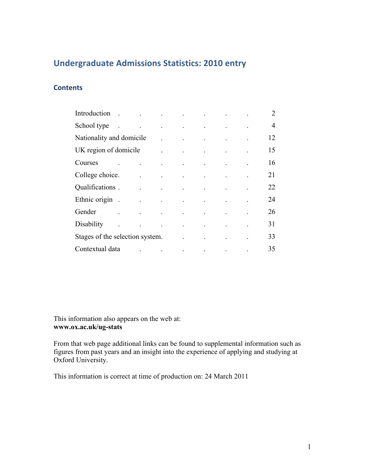## **Undergraduate Admissions Statistics: 2010 entry**

### **Contents**

| Introduction.                                                                                                   | $\mathcal{L}^{\mathcal{A}}$ and $\mathcal{L}^{\mathcal{A}}$ are the set of the set of the set of the set of the set of the set of the set of the set of the set of the set of the set of the set of the set of the set of the set of the set of the s |                                                                                                                                                                                                                                                                                                                                                                                                                                                           |  |                          | $\overline{2}$ |
|-----------------------------------------------------------------------------------------------------------------|-------------------------------------------------------------------------------------------------------------------------------------------------------------------------------------------------------------------------------------------------------|-----------------------------------------------------------------------------------------------------------------------------------------------------------------------------------------------------------------------------------------------------------------------------------------------------------------------------------------------------------------------------------------------------------------------------------------------------------|--|--------------------------|----------------|
| School type                                                                                                     | $\mathcal{L}^{\mathcal{A}}$ . The contribution of the contribution of the contribution of $\mathcal{L}^{\mathcal{A}}$                                                                                                                                 |                                                                                                                                                                                                                                                                                                                                                                                                                                                           |  |                          | $\overline{4}$ |
| Nationality and domicile                                                                                        |                                                                                                                                                                                                                                                       | $\mathcal{L}^{\mathcal{L}}(\mathcal{L}^{\mathcal{L}}(\mathcal{L}^{\mathcal{L}}(\mathcal{L}^{\mathcal{L}}(\mathcal{L}^{\mathcal{L}}(\mathcal{L}^{\mathcal{L}}(\mathcal{L}^{\mathcal{L}}(\mathcal{L}^{\mathcal{L}}(\mathcal{L}^{\mathcal{L}}(\mathcal{L}^{\mathcal{L}}(\mathcal{L}^{\mathcal{L}}(\mathcal{L}^{\mathcal{L}}(\mathcal{L}^{\mathcal{L}}(\mathcal{L}^{\mathcal{L}}(\mathcal{L}^{\mathcal{L}}(\mathcal{L}^{\mathcal{L}}(\mathcal{L}^{\mathcal{L$ |  |                          | 12             |
| UK region of domicile                                                                                           |                                                                                                                                                                                                                                                       | $\mathcal{A}^{\mathcal{A}}$ and $\mathcal{A}^{\mathcal{A}}$ are the set of the set of the set of $\mathcal{A}^{\mathcal{A}}$                                                                                                                                                                                                                                                                                                                              |  |                          | 15             |
| Courses                                                                                                         | $\mathcal{A}^{\mathcal{A}}$ , and the set of the set of the set of the set of the set of the set of the set of the set of the set of the set of the set of the set of the set of the set of the set of the set of the set of the set of t             |                                                                                                                                                                                                                                                                                                                                                                                                                                                           |  |                          | 16             |
| College choice.                                                                                                 |                                                                                                                                                                                                                                                       | $\mathcal{L}^{\mathcal{A}}$ and $\mathcal{L}^{\mathcal{A}}$ are the set of the set of the set of the set of the $\mathcal{A}$                                                                                                                                                                                                                                                                                                                             |  |                          | 21             |
| Qualifications.                                                                                                 | $\mathcal{L}^{\mathcal{A}}$ . The contribution of the contribution of the contribution of the contribution of the contribution of the contribution of the contribution of the contribution of the contribution of the contribution of the             |                                                                                                                                                                                                                                                                                                                                                                                                                                                           |  |                          | 22             |
| Ethnic origin.                                                                                                  | the contract of the contract of the contract of                                                                                                                                                                                                       |                                                                                                                                                                                                                                                                                                                                                                                                                                                           |  |                          | 24             |
| Gender                                                                                                          | $\mathcal{L}^{\mathcal{A}}$ and $\mathcal{L}^{\mathcal{A}}$ are the set of the set of the set of the set of the set of the set of the set of the set of the set of the set of the set of the set of the set of the set of the set of the set of the s |                                                                                                                                                                                                                                                                                                                                                                                                                                                           |  |                          | 26             |
| Disability                                                                                                      | the contract of the contract of the contract of the                                                                                                                                                                                                   |                                                                                                                                                                                                                                                                                                                                                                                                                                                           |  | $\overline{\phantom{a}}$ | 31             |
| Stages of the selection system.                                                                                 |                                                                                                                                                                                                                                                       |                                                                                                                                                                                                                                                                                                                                                                                                                                                           |  |                          | 33             |
| Contextual data contextual data contextual data contextual data contextual data contextual data contextual data |                                                                                                                                                                                                                                                       |                                                                                                                                                                                                                                                                                                                                                                                                                                                           |  |                          | 35             |

This information also appears on the web at: **www.ox.ac.uk/ug-stats**

From that web page additional links can be found to supplemental information such as figures from past years and an insight into the experience of applying and studying at Oxford University.

This information is correct at time of production on: 24 March 2011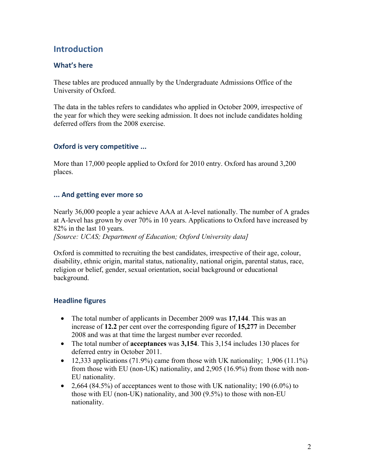# **Introduction**

### **What's here**

These tables are produced annually by the Undergraduate Admissions Office of the University of Oxford.

The data in the tables refers to candidates who applied in October 2009, irrespective of the year for which they were seeking admission. It does not include candidates holding deferred offers from the 2008 exercise.

### **Oxford is very competitive ...**

More than 17,000 people applied to Oxford for 2010 entry. Oxford has around 3,200 places.

### **...\*And\*getting\*ever\*more\*so**

Nearly 36,000 people a year achieve AAA at A-level nationally. The number of A grades at A-level has grown by over 70% in 10 years. Applications to Oxford have increased by 82% in the last 10 years.

*[Source: UCAS; Department of Education; Oxford University data]*

Oxford is committed to recruiting the best candidates, irrespective of their age, colour, disability, ethnic origin, marital status, nationality, national origin, parental status, race, religion or belief, gender, sexual orientation, social background or educational background.

### **Headline figures**

- The total number of applicants in December 2009 was **17,144**. This was an increase of **12.2** per cent over the corresponding figure of **15,277** in December 2008 and was at that time the largest number ever recorded.
- The total number of **acceptances** was **3,154**. This 3,154 includes 130 places for deferred entry in October 2011.
- 12,333 applications (71.9%) came from those with UK nationality;  $1,906$  (11.1%) from those with EU (non-UK) nationality, and 2,905 (16.9%) from those with non-EU nationality.
- 2,664 (84.5%) of acceptances went to those with UK nationality; 190 (6.0%) to those with EU (non-UK) nationality, and 300 (9.5%) to those with non-EU nationality.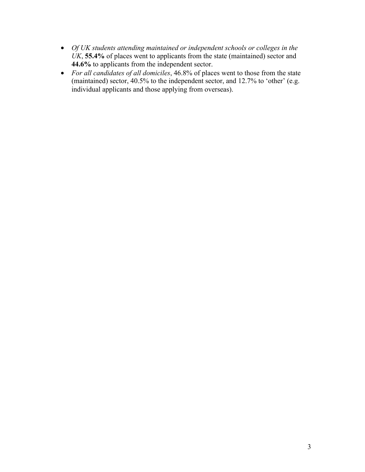- *Of UK students attending maintained or independent schools or colleges in the UK*, **55.4%** of places went to applicants from the state (maintained) sector and **44.6%** to applicants from the independent sector.
- *For all candidates of all domiciles*, 46.8% of places went to those from the state (maintained) sector, 40.5% to the independent sector, and 12.7% to 'other' (e.g. individual applicants and those applying from overseas).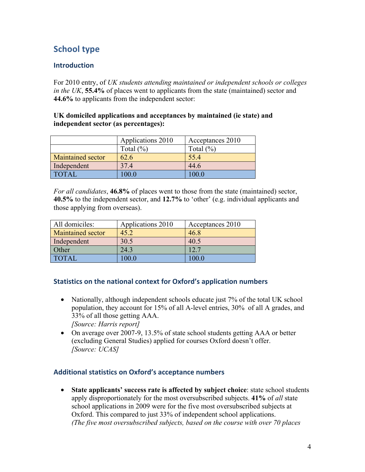# **School type**

### **Introduction**

For 2010 entry, of *UK students attending maintained or independent schools or colleges in the UK*, **55.4%** of places went to applicants from the state (maintained) sector and **44.6%** to applicants from the independent sector:

**UK domiciled applications and acceptances by maintained (ie state) and independent sector (as percentages):**

|                   | Applications 2010 | Acceptances 2010 |
|-------------------|-------------------|------------------|
|                   | Total $(\% )$     | Total $(\% )$    |
| Maintained sector | 62.6              | 55.4             |
| Independent       | 37.4              | 44.6             |
| <b>TOTAL</b>      | 0.00              |                  |

*For all candidates*, **46.8%** of places went to those from the state (maintained) sector, **40.5%** to the independent sector, and **12.7%** to 'other' (e.g. individual applicants and those applying from overseas).

| All domiciles:    | Applications 2010 | Acceptances 2010 |
|-------------------|-------------------|------------------|
| Maintained sector | 45.2              | 46.8             |
| Independent       | 30.5              | 40.5             |
| Other             | 24.3              | $\sqrt{12.7}$    |
| <b>TOTAL</b>      | (0()()            | 100 C            |

### Statistics on the national context for Oxford's application numbers

- Nationally, although independent schools educate just 7% of the total UK school population, they account for 15% of all A-level entries, 30% of all A grades, and 33% of all those getting AAA. *[Source: Harris report]*
- On average over 2007-9, 13.5% of state school students getting AAA or better (excluding General Studies) applied for courses Oxford doesn't offer. *[Source: UCAS]*

## Additional statistics on Oxford's acceptance numbers

• **State applicants' success rate is affected by subject choice**: state school students apply disproportionately for the most oversubscribed subjects. **41%** of *all* state school applications in 2009 were for the five most oversubscribed subjects at Oxford. This compared to just 33% of independent school applications. *(The five most oversubscribed subjects, based on the course with over 70 places*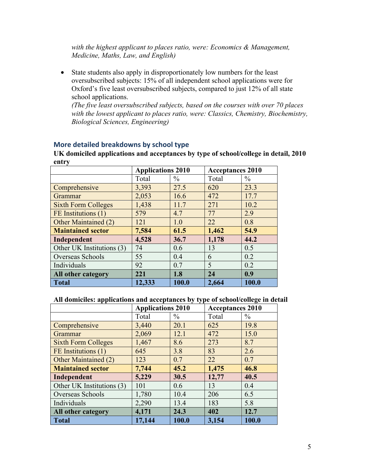*with the highest applicant to places ratio, were: Economics & Management, Medicine, Maths, Law, and English)*

• State students also apply in disproportionately low numbers for the least oversubscribed subjects: 15% of all independent school applications were for Oxford's five least oversubscribed subjects, compared to just 12% of all state school applications.

*(The five least oversubscribed subjects, based on the courses with over 70 places with the lowest applicant to places ratio, were: Classics, Chemistry, Biochemistry, Biological Sciences, Engineering)*

| ени у                      |                          |               |                         |               |
|----------------------------|--------------------------|---------------|-------------------------|---------------|
|                            | <b>Applications 2010</b> |               | <b>Acceptances 2010</b> |               |
|                            | Total                    | $\frac{0}{0}$ | Total                   | $\frac{0}{0}$ |
| Comprehensive              | 3,393                    | 27.5          | 620                     | 23.3          |
| Grammar                    | 2,053                    | 16.6          | 472                     | 17.7          |
| <b>Sixth Form Colleges</b> | 1,438                    | 11.7          | 271                     | 10.2          |
| FE Institutions (1)        | 579                      | 4.7           | 77                      | 2.9           |
| Other Maintained (2)       | 121                      | 1.0           | 22                      | 0.8           |
| <b>Maintained sector</b>   | 7,584                    | 61.5          | 1,462                   | 54.9          |
| Independent                | 4,528                    | 36.7          | 1,178                   | 44.2          |
| Other UK Institutions (3)  | 74                       | 0.6           | 13                      | 0.5           |
| Overseas Schools           | 55                       | 0.4           | 6                       | 0.2           |
| Individuals                | 92                       | 0.7           | 5                       | 0.2           |
| All other category         | 221                      | 1.8           | 24                      | 0.9           |
| <b>Total</b>               | 12,333                   | 100.0         | 2,664                   | 100.0         |

### **More detailed breakdowns by school type**

**UK domiciled applications and acceptances by type of school/college in detail, 2010 entry**

#### **All domiciles: applications and acceptances by type of school/college in detail**

|                            | <b>Applications 2010</b> |               | <b>Acceptances 2010</b> |               |
|----------------------------|--------------------------|---------------|-------------------------|---------------|
|                            | Total                    | $\frac{0}{0}$ | Total                   | $\frac{0}{0}$ |
| Comprehensive              | 3,440                    | 20.1          | 625                     | 19.8          |
| Grammar                    | 2,069                    | 12.1          | 472                     | 15.0          |
| <b>Sixth Form Colleges</b> | 1,467                    | 8.6           | 273                     | 8.7           |
| FE Institutions $(1)$      | 645                      | 3.8           | 83                      | 2.6           |
| Other Maintained (2)       | 123                      | 0.7           | 22                      | 0.7           |
| <b>Maintained sector</b>   | 7,744                    | 45.2          | 1,475                   | 46.8          |
| Independent                | 5,229                    | 30.5          | 12,77                   | 40.5          |
| Other UK Institutions (3)  | 101                      | 0.6           | 13                      | 0.4           |
| Overseas Schools           | 1,780                    | 10.4          | 206                     | 6.5           |
| Individuals                | 2,290                    | 13.4          | 183                     | 5.8           |
| All other category         | 4,171                    | 24.3          | 402                     | 12.7          |
| <b>Total</b>               | 17,144                   | 100.0         | 3,154                   | 100.0         |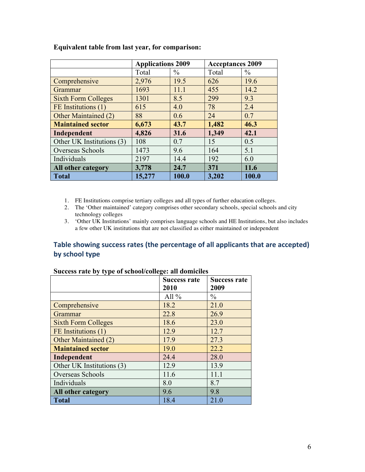|                            | <b>Applications 2009</b> |               | <b>Acceptances 2009</b> |               |  |
|----------------------------|--------------------------|---------------|-------------------------|---------------|--|
|                            | Total                    | $\frac{0}{0}$ | Total                   | $\frac{0}{0}$ |  |
| Comprehensive              | 2,976                    | 19.5          | 626                     | 19.6          |  |
| Grammar                    | 1693                     | 11.1          | 455                     | 14.2          |  |
| <b>Sixth Form Colleges</b> | 1301                     | 8.5           | 299                     | 9.3           |  |
| FE Institutions (1)        | 615                      | 4.0           | 78                      | 2.4           |  |
| Other Maintained (2)       | 88                       | 0.6           | 24                      | 0.7           |  |
| <b>Maintained sector</b>   | 6,673                    | 43.7          | 1,482                   | 46.3          |  |
| Independent                | 4,826                    | 31.6          | 1,349                   | 42.1          |  |
| Other UK Institutions (3)  | 108                      | 0.7           | 15                      | 0.5           |  |
| Overseas Schools           | 1473                     | 9.6           | 164                     | 5.1           |  |
| Individuals                | 2197                     | 14.4          | 192                     | 6.0           |  |
| All other category         | 3,778                    | 24.7          | 371                     | 11.6          |  |
| <b>Total</b>               | 15,277                   | 100.0         | 3,202                   | 100.0         |  |

### **Equivalent table from last year, for comparison:**

- 1. FE Institutions comprise tertiary colleges and all types of further education colleges.
- 2. The 'Other maintained' category comprises other secondary schools, special schools and city technology colleges
- 3. 'Other UK Institutions' mainly comprises language schools and HE Institutions, but also includes a few other UK institutions that are not classified as either maintained or independent

### Table showing success rates (the percentage of all applicants that are accepted) by school type

|  |  |  | Success rate by type of school/college: all domiciles |
|--|--|--|-------------------------------------------------------|
|  |  |  |                                                       |

|                            | <b>Success rate</b><br>2010 | <b>Success rate</b><br>2009 |
|----------------------------|-----------------------------|-----------------------------|
|                            | All $%$                     | $\frac{0}{0}$               |
| Comprehensive              | 18.2                        | 21.0                        |
| Grammar                    | 22.8                        | 26.9                        |
| <b>Sixth Form Colleges</b> | 18.6                        | 23.0                        |
| FE Institutions (1)        | 12.9                        | 12.7                        |
| Other Maintained (2)       | 17.9                        | 27.3                        |
| <b>Maintained sector</b>   | 19.0                        | 22.2                        |
| Independent                | 24.4                        | 28.0                        |
| Other UK Institutions (3)  | 12.9                        | 13.9                        |
| Overseas Schools           | 11.6                        | 11.1                        |
| Individuals                | 8.0                         | 8.7                         |
| All other category         | 9.6                         | 9.8                         |
| <b>Total</b>               | 18.4                        | 21.0                        |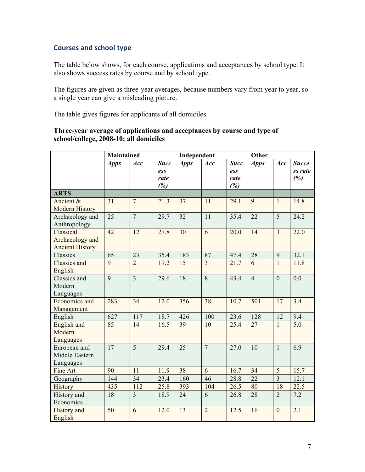### **Courses and school type**

The table below shows, for each course, applications and acceptances by school type. It also shows success rates by course and by school type.

The figures are given as three-year averages, because numbers vary from year to year, so a single year can give a misleading picture.

The table gives figures for applicants of all domiciles.

|                                                        | Maintained  |                |                                   | Independent |                |                                   | Other          |                  |                                |
|--------------------------------------------------------|-------------|----------------|-----------------------------------|-------------|----------------|-----------------------------------|----------------|------------------|--------------------------------|
|                                                        | <b>Apps</b> | Acc            | <b>Succ</b><br>ess<br>rate<br>(%) | <b>Apps</b> | Acc            | <b>Succ</b><br>ess<br>rate<br>(%) | <b>Apps</b>    | Acc              | <b>Succe</b><br>ss rate<br>(%) |
| <b>ARTS</b>                                            |             |                |                                   |             |                |                                   |                |                  |                                |
| Ancient &<br><b>Modern History</b>                     | 31          | $\overline{7}$ | 21.3                              | 37          | 11             | 29.1                              | 9              | $\mathbf{1}$     | 14.8                           |
| Archaeology and<br>Anthropology                        | 25          | $\overline{7}$ | 29.7                              | 32          | 11             | 35.4                              | 22             | 5                | 24.2                           |
| Classical<br>Archaeology and<br><b>Ancient History</b> | 42          | 12             | 27.8                              | 30          | 6              | 20.0                              | 14             | $\overline{3}$   | 22.0                           |
| Classics                                               | 65          | 23             | 35.4                              | 183         | 87             | 47.4                              | 28             | $\boldsymbol{9}$ | 32.1                           |
| Classics and<br>English                                | 9           | $\overline{2}$ | 19.2                              | 15          | $\overline{3}$ | 21.7                              | 6              | $\mathbf{1}$     | 11.8                           |
| Classics and<br>Modern<br>Languages                    | 9           | $\overline{3}$ | 29.6                              | 18          | $\overline{8}$ | 43.4                              | $\overline{4}$ | $\mathbf{0}$     | 0.0                            |
| Economics and<br>Management                            | 283         | 34             | 12.0                              | 356         | 38             | 10.7                              | 501            | 17               | $\overline{3.4}$               |
| English                                                | 627         | 117            | 18.7                              | 426         | 100            | 23.6                              | 128            | 12               | 9.4                            |
| English and<br>Modern<br>Languages                     | 85          | 14             | 16.5                              | 39          | 10             | 25.4                              | 27             | $\mathbf{1}$     | $\overline{5.0}$               |
| European and<br>Middle Eastern<br>Languages            | 17          | 5              | 29.4                              | 25          | $\overline{7}$ | 27.0                              | 10             | $\mathbf{1}$     | 6.9                            |
| Fine Art                                               | 90          | 11             | 11.9                              | 38          | 6              | 16.7                              | 34             | 5                | 15.7                           |
| Geography                                              | 144         | 34             | 23.4                              | 160         | 46             | 28.8                              | 22             | $\overline{3}$   | 12.1                           |
| History                                                | 435         | 112            | 25.8                              | 393         | 104            | 26.5                              | 80             | 18               | 22.5                           |
| History and<br>Economics                               | 18          | $\overline{3}$ | 18.9                              | 24          | 6              | 26.8                              | 28             | $\overline{2}$   | 7.2                            |
| History and<br>English                                 | 50          | 6              | 12.0                              | 13          | $\overline{2}$ | 12.5                              | 16             | $\overline{0}$   | $\overline{2.1}$               |

### **Three-year average of applications and acceptances by course and type of school/college, 2008-10: all domiciles**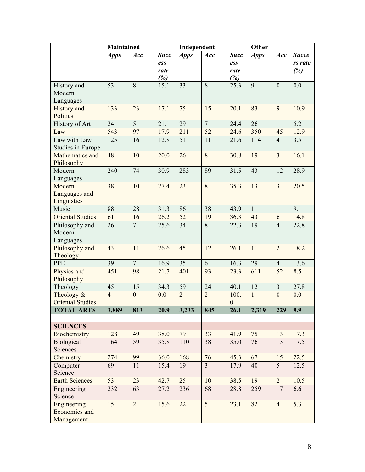|                                 | Maintained     |                |             | Independent    |                |                  | Other        |                  |                |
|---------------------------------|----------------|----------------|-------------|----------------|----------------|------------------|--------------|------------------|----------------|
|                                 | <b>Apps</b>    | Acc            | <b>Succ</b> | <b>Apps</b>    | Acc            | <b>Succ</b>      | <b>Apps</b>  | Acc              | <b>Succe</b>   |
|                                 |                |                | ess         |                |                | ess              |              |                  | ss rate<br>(%) |
|                                 |                |                | rate<br>(%) |                |                | rate<br>(%)      |              |                  |                |
| History and                     | 53             | 8              | 15.1        | 33             | 8              | 25.3             | 9            | $\boldsymbol{0}$ | 0.0            |
| Modern                          |                |                |             |                |                |                  |              |                  |                |
| Languages                       |                |                |             |                |                |                  |              |                  |                |
| History and                     | 133            | 23             | 17.1        | 75             | 15             | 20.1             | 83           | 9                | 10.9           |
| Politics                        |                |                |             |                |                |                  |              |                  |                |
| History of Art                  | 24             | 5              | 21.1        | 29             | $\overline{7}$ | 24.4             | 26           | $\mathbf{1}$     | 5.2            |
| Law                             | 543            | 97             | 17.9        | 211            | 52             | 24.6             | 350          | 45               | 12.9           |
| Law with Law                    | 125            | 16             | 12.8        | 51             | 11             | 21.6             | 114          | $\overline{4}$   | 3.5            |
| Studies in Europe               |                |                |             |                |                |                  |              |                  |                |
| Mathematics and                 | 48             | 10             | 20.0        | 26             | $\,8\,$        | 30.8             | 19           | $\overline{3}$   | 16.1           |
| Philosophy                      |                |                |             |                |                |                  |              |                  |                |
| Modern                          | 240            | 74             | 30.9        | 283            | 89             | 31.5             | 43           | 12               | 28.9           |
| Languages                       |                |                |             |                |                |                  |              |                  |                |
| Modern                          | 38             | 10             | 27.4        | 23             | $\,8\,$        | 35.3             | 13           | $\overline{3}$   | 20.5           |
| Languages and                   |                |                |             |                |                |                  |              |                  |                |
| Linguistics<br>Music            | 88             | 28             | 31.3        | 86             | 38             | 43.9             | 11           | $\mathbf{1}$     | 9.1            |
| <b>Oriental Studies</b>         | 61             | 16             | 26.2        | 52             | 19             | 36.3             | 43           | 6                | 14.8           |
| Philosophy and                  | 26             | $\overline{7}$ | 25.6        | 34             | $8\,$          | 22.3             | 19           | $\overline{4}$   | 22.8           |
| Modern                          |                |                |             |                |                |                  |              |                  |                |
| Languages                       |                |                |             |                |                |                  |              |                  |                |
| Philosophy and                  | 43             | 11             | 26.6        | 45             | 12             | 26.1             | 11           | $\overline{2}$   | 18.2           |
| Theology                        |                |                |             |                |                |                  |              |                  |                |
| <b>PPE</b>                      | 39             | $\overline{7}$ | 16.9        | 35             | 6              | 16.3             | 29           | $\overline{4}$   | 13.6           |
| Physics and                     | 451            | 98             | 21.7        | 401            | 93             | 23.3             | 611          | 52               | 8.5            |
| Philosophy                      |                |                |             |                |                |                  |              |                  |                |
| Theology                        | 45             | 15             | 34.3        | 59             | 24             | 40.1             | 12           | $\mathfrak{Z}$   | 27.8           |
| Theology &                      | $\overline{4}$ | $\overline{0}$ | 0.0         | $\overline{2}$ | $\overline{2}$ | 100.             | $\mathbf{1}$ | $\mathbf{0}$     | 0.0            |
| <b>Oriental Studies</b>         |                |                |             |                |                | $\boldsymbol{0}$ |              |                  |                |
| <b>TOTAL ARTS</b>               | 3,889          | 813            | 20.9        | 3,233          | 845            | 26.1             | 2,319        | 229              | 9.9            |
|                                 |                |                |             |                |                |                  |              |                  |                |
| <b>SCIENCES</b><br>Biochemistry | 128            | 49             | 38.0        | 79             | 33             | 41.9             | 75           | 13               | 17.3           |
| <b>Biological</b>               | 164            | 59             | 35.8        | 110            | 38             | 35.0             | 76           | 13               | 17.5           |
| Sciences                        |                |                |             |                |                |                  |              |                  |                |
| Chemistry                       | 274            | 99             | 36.0        | 168            | 76             | 45.3             | 67           | 15               | 22.5           |
| Computer                        | 69             | 11             | 15.4        | 19             | $\overline{3}$ | 17.9             | 40           | 5                | 12.5           |
| Science                         |                |                |             |                |                |                  |              |                  |                |
| <b>Earth Sciences</b>           | 53             | 23             | 42.7        | 25             | 10             | 38.5             | 19           | $\overline{2}$   | 10.5           |
| Engineering                     | 232            | 63             | 27.2        | 236            | 68             | 28.8             | 259          | 17               | 6.6            |
| Science                         |                |                |             |                |                |                  |              |                  |                |
| Engineering                     | 15             | $\overline{2}$ | 15.6        | 22             | 5              | 23.1             | 82           | $\overline{4}$   | 5.3            |
| Economics and                   |                |                |             |                |                |                  |              |                  |                |
| Management                      |                |                |             |                |                |                  |              |                  |                |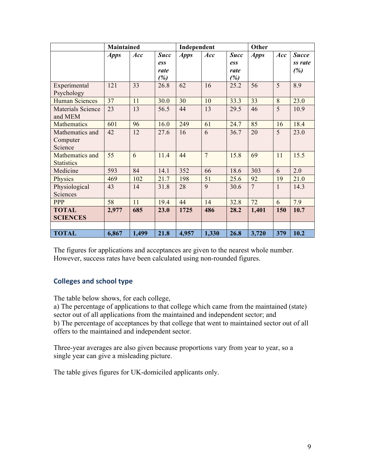|                          | <b>Maintained</b> |       |             | Independent |                |             | Other          |              |              |
|--------------------------|-------------------|-------|-------------|-------------|----------------|-------------|----------------|--------------|--------------|
|                          | <b>Apps</b>       | Acc   | <b>Succ</b> | <b>Apps</b> | Acc            | <b>Succ</b> | <b>Apps</b>    | Acc          | <b>Succe</b> |
|                          |                   |       | ess         |             |                | ess         |                |              | ss rate      |
|                          |                   |       | rate        |             |                | rate        |                |              | (%)          |
|                          |                   |       | (%)         |             |                | (%)         |                |              |              |
| Experimental             | 121               | 33    | 26.8        | 62          | 16             | 25.2        | 56             | 5            | 8.9          |
| Psychology               |                   |       |             |             |                |             |                |              |              |
| <b>Human Sciences</b>    | 37                | 11    | 30.0        | 30          | 10             | 33.3        | 33             | 8            | 23.0         |
| <b>Materials Science</b> | 23                | 13    | 56.5        | 44          | 13             | 29.5        | 46             | 5            | 10.9         |
| and MEM                  |                   |       |             |             |                |             |                |              |              |
| Mathematics              | 601               | 96    | 16.0        | 249         | 61             | 24.7        | 85             | 16           | 18.4         |
| Mathematics and          | 42                | 12    | 27.6        | 16          | 6              | 36.7        | 20             | 5            | 23.0         |
| Computer                 |                   |       |             |             |                |             |                |              |              |
| Science                  |                   |       |             |             |                |             |                |              |              |
| Mathematics and          | 55                | 6     | 11.4        | 44          | $\overline{7}$ | 15.8        | 69             | 11           | 15.5         |
| <b>Statistics</b>        |                   |       |             |             |                |             |                |              |              |
| Medicine                 | 593               | 84    | 14.1        | 352         | 66             | 18.6        | 303            | 6            | 2.0          |
| Physics                  | 469               | 102   | 21.7        | 198         | 51             | 25.6        | 92             | 19           | 21.0         |
| Physiological            | 43                | 14    | 31.8        | 28          | 9              | 30.6        | $\overline{7}$ | $\mathbf{1}$ | 14.3         |
| Sciences                 |                   |       |             |             |                |             |                |              |              |
| <b>PPP</b>               | 58                | 11    | 19.4        | 44          | 14             | 32.8        | 72             | 6            | 7.9          |
| <b>TOTAL</b>             | 2,977             | 685   | 23.0        | 1725        | 486            | 28.2        | 1,401          | 150          | 10.7         |
| <b>SCIENCES</b>          |                   |       |             |             |                |             |                |              |              |
|                          |                   |       |             |             |                |             |                |              |              |
| <b>TOTAL</b>             | 6,867             | 1,499 | 21.8        | 4,957       | 1,330          | 26.8        | 3,720          | 379          | 10.2         |

The figures for applications and acceptances are given to the nearest whole number. However, success rates have been calculated using non-rounded figures.

### **Colleges and school type**

The table below shows, for each college,

a) The percentage of applications to that college which came from the maintained (state) sector out of all applications from the maintained and independent sector; and b) The percentage of acceptances by that college that went to maintained sector out of all offers to the maintained and independent sector.

Three-year averages are also given because proportions vary from year to year, so a single year can give a misleading picture.

The table gives figures for UK-domiciled applicants only.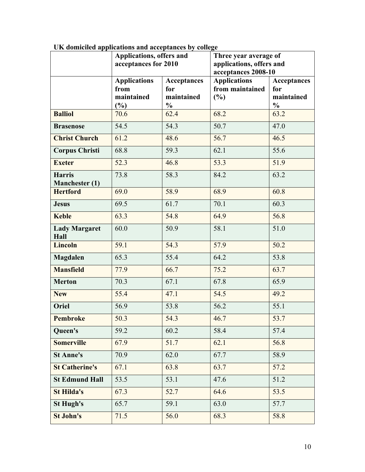|                                        | Applications, offers and<br>acceptances for 2010 |                             | Three year average of<br>applications, offers and<br>acceptances 2008-10 |                             |  |  |
|----------------------------------------|--------------------------------------------------|-----------------------------|--------------------------------------------------------------------------|-----------------------------|--|--|
|                                        | <b>Applications</b>                              | <b>Acceptances</b>          | <b>Applications</b>                                                      | Acceptances                 |  |  |
|                                        | from                                             | for                         | from maintained                                                          | for                         |  |  |
|                                        | maintained<br>$\left( \frac{0}{0} \right)$       | maintained<br>$\frac{0}{0}$ | (%)                                                                      | maintained<br>$\frac{0}{0}$ |  |  |
| <b>Balliol</b>                         | 70.6                                             | 62.4                        | 68.2                                                                     | 63.2                        |  |  |
| <b>Brasenose</b>                       | 54.5                                             | 54.3                        | 50.7                                                                     | 47.0                        |  |  |
| <b>Christ Church</b>                   | 61.2                                             | 48.6                        | 56.7                                                                     | 46.5                        |  |  |
| <b>Corpus Christi</b>                  | 68.8                                             | 59.3                        | 62.1                                                                     | 55.6                        |  |  |
| <b>Exeter</b>                          | 52.3                                             | 46.8                        | 53.3                                                                     | 51.9                        |  |  |
| <b>Harris</b><br><b>Manchester (1)</b> | 73.8                                             | 58.3                        | 84.2                                                                     | 63.2                        |  |  |
| <b>Hertford</b>                        | 69.0                                             | 58.9                        | 68.9                                                                     | 60.8                        |  |  |
| <b>Jesus</b>                           | 69.5                                             | 61.7                        | 70.1                                                                     | 60.3                        |  |  |
| <b>Keble</b>                           | 63.3                                             | 54.8                        | 64.9                                                                     | 56.8                        |  |  |
| <b>Lady Margaret</b><br>Hall           | 60.0                                             | 50.9                        | 58.1                                                                     | 51.0                        |  |  |
| Lincoln                                | 59.1                                             | 54.3                        | 57.9                                                                     | 50.2                        |  |  |
| <b>Magdalen</b>                        | 65.3                                             | 55.4                        | 64.2                                                                     | 53.8                        |  |  |
| <b>Mansfield</b>                       | 77.9                                             | 66.7                        | 75.2                                                                     | 63.7                        |  |  |
| <b>Merton</b>                          | 70.3                                             | 67.1                        | 67.8                                                                     | 65.9                        |  |  |
| <b>New</b>                             | 55.4                                             | 47.1                        | 54.5                                                                     | 49.2                        |  |  |
| Oriel                                  | 56.9                                             | 53.8                        | 56.2                                                                     | 55.1                        |  |  |
| Pembroke                               | 50.3                                             | 54.3                        | 46.7                                                                     | 53.7                        |  |  |
| Queen's                                | 59.2                                             | 60.2                        | 58.4                                                                     | 57.4                        |  |  |
| <b>Somerville</b>                      | 67.9                                             | 51.7                        | 62.1                                                                     | 56.8                        |  |  |
| <b>St Anne's</b>                       | 70.9                                             | 62.0                        | 67.7                                                                     | 58.9                        |  |  |
| <b>St Catherine's</b>                  | 67.1                                             | 63.8                        | 63.7                                                                     | 57.2                        |  |  |
| <b>St Edmund Hall</b>                  | 53.5                                             | 53.1                        | 47.6                                                                     | 51.2                        |  |  |
| <b>St Hilda's</b>                      | 67.3                                             | 52.7                        | 64.6                                                                     | 53.5                        |  |  |
| <b>St Hugh's</b>                       | 65.7                                             | 59.1                        | 63.0                                                                     | 57.7                        |  |  |
| <b>St John's</b>                       | 71.5                                             | 56.0                        | 68.3                                                                     | 58.8                        |  |  |

### **UK domiciled applications and acceptances by college**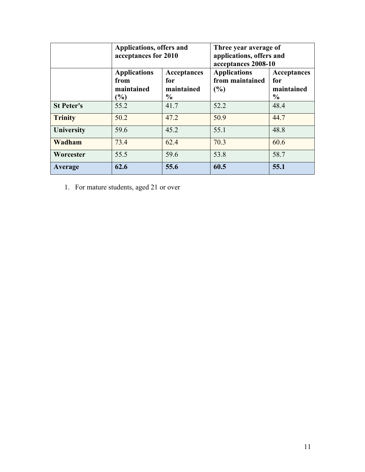|                   | Applications, offers and<br>acceptances for 2010           |                                                    | Three year average of<br>applications, offers and<br>acceptances 2008-10 |                                                   |  |
|-------------------|------------------------------------------------------------|----------------------------------------------------|--------------------------------------------------------------------------|---------------------------------------------------|--|
|                   | <b>Applications</b><br>from<br>maintained<br>$\frac{9}{6}$ | Acceptances<br>for<br>maintained<br>$\frac{6}{10}$ | <b>Applications</b><br>from maintained<br>(%)                            | Acceptances<br>for<br>maintained<br>$\frac{6}{9}$ |  |
| <b>St Peter's</b> | 55.2                                                       | 41.7                                               | 52.2                                                                     | 48.4                                              |  |
| <b>Trinity</b>    | 50.2                                                       | 47.2                                               | 50.9                                                                     | 44.7                                              |  |
| <b>University</b> | 59.6                                                       | 45.2                                               | 55.1                                                                     | 48.8                                              |  |
| Wadham            | 73.4                                                       | 62.4                                               | 70.3                                                                     | 60.6                                              |  |
| Worcester         | 55.5                                                       | 59.6                                               | 53.8                                                                     | 58.7                                              |  |
| Average           | 62.6                                                       | 55.6                                               | 60.5                                                                     | 55.1                                              |  |

1. For mature students, aged 21 or over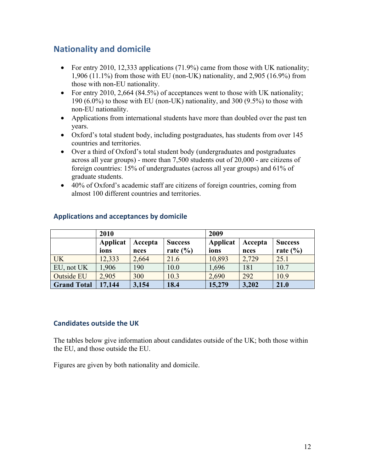## **Nationality and domicile**

- For entry 2010, 12,333 applications  $(71.9\%)$  came from those with UK nationality; 1,906 (11.1%) from those with EU (non-UK) nationality, and 2,905 (16.9%) from those with non-EU nationality.
- For entry 2010, 2,664 (84.5%) of acceptances went to those with UK nationality; 190 (6.0%) to those with EU (non-UK) nationality, and 300 (9.5%) to those with non-EU nationality.
- Applications from international students have more than doubled over the past ten years.
- Oxford's total student body, including postgraduates, has students from over 145 countries and territories.
- Over a third of Oxford's total student body (undergraduates and postgraduates across all year groups) - more than 7,500 students out of 20,000 - are citizens of foreign countries: 15% of undergraduates (across all year groups) and 61% of graduate students.
- 40% of Oxford's academic staff are citizens of foreign countries, coming from almost 100 different countries and territories.

|                    | 2010     |         |                | 2009     |         |                |
|--------------------|----------|---------|----------------|----------|---------|----------------|
|                    | Applicat | Accepta | <b>Success</b> | Applicat | Accepta | <b>Success</b> |
|                    | ions     | nces    | rate $(\% )$   | ions     | nces    | rate $(\% )$   |
| <b>UK</b>          | 12,333   | 2,664   | 21.6           | 10,893   | 2,729   | 25.1           |
| EU, not UK         | 1,906    | 190     | 10.0           | 1,696    | 181     | 10.7           |
| Outside EU         | 2,905    | 300     | 10.3           | 2,690    | 292     | 10.9           |
| <b>Grand Total</b> | 17,144   | 3,154   | 18.4           | 15,279   | 3,202   | 21.0           |

## Applications and acceptances by domicile

### **Candidates outside the UK**

The tables below give information about candidates outside of the UK; both those within the EU, and those outside the EU.

Figures are given by both nationality and domicile.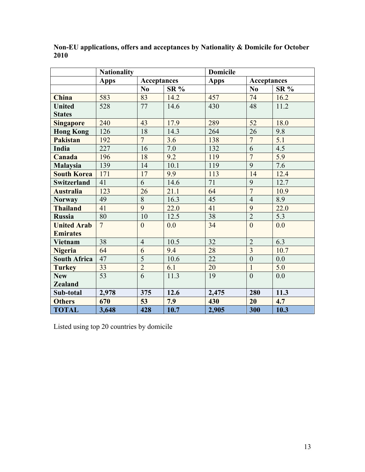|                     | <b>Nationality</b> |                    | <b>Domicile</b> |             |                    |             |
|---------------------|--------------------|--------------------|-----------------|-------------|--------------------|-------------|
|                     | <b>Apps</b>        | <b>Acceptances</b> |                 | <b>Apps</b> | <b>Acceptances</b> |             |
|                     |                    | No                 | <b>SR %</b>     |             | No                 | <b>SR %</b> |
| <b>China</b>        | 583                | 83                 | 14.2            | 457         | 74                 | 16.2        |
| <b>United</b>       | 528                | 77                 | 14.6            | 430         | 48                 | 11.2        |
| <b>States</b>       |                    |                    |                 |             |                    |             |
| <b>Singapore</b>    | 240                | 43                 | 17.9            | 289         | 52                 | 18.0        |
| <b>Hong Kong</b>    | 126                | 18                 | 14.3            | 264         | 26                 | 9.8         |
| <b>Pakistan</b>     | 192                | $\overline{7}$     | 3.6             | 138         | $\overline{7}$     | 5.1         |
| India               | 227                | 16                 | 7.0             | 132         | 6                  | 4.5         |
| Canada              | 196                | 18                 | 9.2             | 119         | $\overline{7}$     | 5.9         |
| <b>Malaysia</b>     | 139                | 14                 | 10.1            | 119         | 9                  | 7.6         |
| <b>South Korea</b>  | 171                | 17                 | 9.9             | 113         | 14                 | 12.4        |
| <b>Switzerland</b>  | 41                 | 6                  | 14.6            | 71          | 9                  | 12.7        |
| <b>Australia</b>    | 123                | 26                 | 21.1            | 64          | $\overline{7}$     | 10.9        |
| <b>Norway</b>       | 49                 | $\overline{8}$     | 16.3            | 45          | $\overline{4}$     | 8.9         |
| <b>Thailand</b>     | 41                 | 9                  | 22.0            | 41          | 9                  | 22.0        |
| <b>Russia</b>       | 80                 | 10                 | 12.5            | 38          | $\overline{2}$     | 5.3         |
| <b>United Arab</b>  | $\overline{7}$     | $\overline{0}$     | 0.0             | 34          | $\overline{0}$     | 0.0         |
| <b>Emirates</b>     |                    |                    |                 |             |                    |             |
| Vietnam             | 38                 | $\overline{4}$     | 10.5            | 32          | $\overline{2}$     | 6.3         |
| <b>Nigeria</b>      | 64                 | 6                  | 9.4             | 28          | $\overline{3}$     | 10.7        |
| <b>South Africa</b> | 47                 | $\overline{5}$     | 10.6            | 22          | $\mathbf{0}$       | 0.0         |
| <b>Turkey</b>       | 33                 | $\overline{2}$     | 6.1             | 20          | $\mathbf{1}$       | 5.0         |
| <b>New</b>          | 53                 | $\overline{6}$     | 11.3            | 19          | $\overline{0}$     | 0.0         |
| <b>Zealand</b>      |                    |                    |                 |             |                    |             |
| Sub-total           | 2,978              | 375                | 12.6            | 2,475       | 280                | 11.3        |
| <b>Others</b>       | 670                | 53                 | 7.9             | 430         | 20                 | 4.7         |
| <b>TOTAL</b>        | 3,648              | 428                | 10.7            | 2,905       | 300                | 10.3        |

**Non-EU applications, offers and acceptances by Nationality & Domicile for October 2010**

Listed using top 20 countries by domicile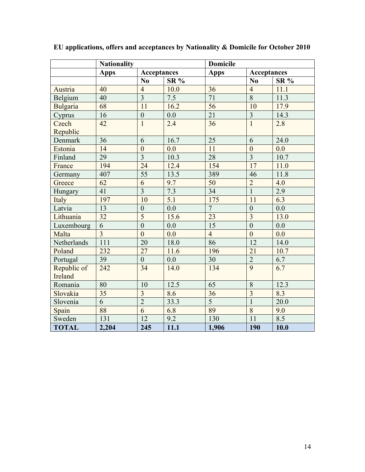|                 | <b>Nationality</b> |                 | <b>Domicile</b> |                 |                         |                   |
|-----------------|--------------------|-----------------|-----------------|-----------------|-------------------------|-------------------|
|                 | <b>Apps</b>        | Acceptances     |                 | <b>Apps</b>     | Acceptances             |                   |
|                 |                    | N <sub>0</sub>  | <b>SR %</b>     |                 | N <sub>0</sub>          | $SR\overline{\%}$ |
| Austria         | 40                 | $\frac{4}{3}$   | 10.0            | 36              | $\overline{4}$          | 11.1              |
| Belgium         | 40                 |                 | 7.5             | 71              | $\overline{8}$          | 11.3              |
| <b>Bulgaria</b> | 68                 | 11              | 16.2            | 56              | 10                      | 17.9              |
| Cyprus          | 16                 | $\frac{0}{1}$   | 0.0             | 21              | $\frac{3}{1}$           | 14.3              |
| Czech           | 42                 |                 | 2.4             | 36              |                         | 2.8               |
| Republic        |                    |                 |                 |                 |                         |                   |
| Denmark         | 36                 | $\overline{6}$  | 16.7            | 25              | 6                       | 24.0              |
| Estonia         | 14                 | $\overline{0}$  | 0.0             | 11              | $\mathbf{0}$            | 0.0               |
| Finland         | 29                 | $\overline{3}$  | 10.3            | 28              | $\overline{3}$          | 10.7              |
| France          | 194                | $\overline{24}$ | 12.4            | 154             | 17                      | 11.0              |
| Germany         | 407                | 55              | 13.5            | 389             | 46                      | 11.8              |
| Greece          | 62                 | 6               | 9.7             | 50              | $\overline{2}$          | 4.0               |
| Hungary         | 41                 | $\overline{3}$  | 7.3             | $\overline{34}$ | $\overline{1}$          | 2.9               |
| Italy           | 197                | 10              | 5.1             | 175             | 11                      | 6.3               |
| Latvia          | 13                 | $\overline{0}$  | 0.0             | $\overline{7}$  | $\boldsymbol{0}$        | 0.0               |
| Lithuania       | 32                 | $\overline{5}$  | 15.6            | 23              | $\overline{\mathbf{3}}$ | 13.0              |
| Luxembourg      | 6                  | $\overline{0}$  | 0.0             | 15              | $\overline{0}$          | 0.0               |
| Malta           | $\overline{3}$     | $\overline{0}$  | 0.0             | $\overline{4}$  | $\overline{0}$          | 0.0               |
| Netherlands     | 111                | 20              | 18.0            | 86              | 12                      | 14.0              |
| Poland          | 232                | 27              | 11.6            | 196             | 21                      | 10.7              |
| Portugal        | 39                 | $\overline{0}$  | 0.0             | 30              | $\overline{2}$          | 6.7               |
| Republic of     | 242                | 34              | 14.0            | 134             | $\overline{9}$          | 6.7               |
| Ireland         |                    |                 |                 |                 |                         |                   |
| Romania         | 80                 | 10              | 12.5            | $\overline{65}$ | 8                       | 12.3              |
| Slovakia        | 35                 | $\frac{3}{2}$   | 8.6             | 36              | $\overline{3}$          | 8.3               |
| Slovenia        | $\overline{6}$     |                 | 33.3            | $\overline{5}$  | $\overline{1}$          | 20.0              |
| Spain           | 88                 | $\overline{6}$  | 6.8             | 89              | $\overline{8}$          | 9.0               |
| Sweden          | 131                | 12              | 9.2             | 130             | 11                      | 8.5               |
| <b>TOTAL</b>    | 2,204              | 245             | 11.1            | 1,906           | 190                     | 10.0              |

**EU applications, offers and acceptances by Nationality & Domicile for October 2010**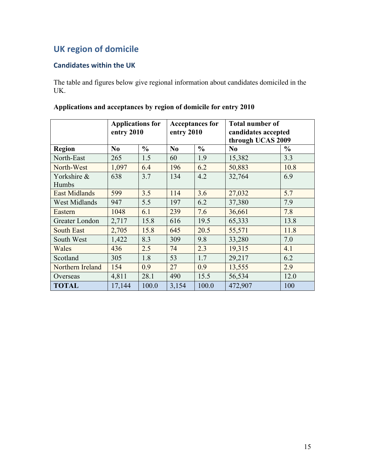# **UK region of domicile**

## **Candidates within the UK**

The table and figures below give regional information about candidates domiciled in the UK.

|                      | <b>Applications for</b><br>entry 2010 |               | <b>Acceptances for</b><br>entry 2010 |               | <b>Total number of</b><br>candidates accepted<br>through UCAS 2009 |      |
|----------------------|---------------------------------------|---------------|--------------------------------------|---------------|--------------------------------------------------------------------|------|
| <b>Region</b>        | N <sub>0</sub>                        | $\frac{0}{0}$ | No                                   | $\frac{0}{0}$ | N <sub>0</sub>                                                     | $\%$ |
| North-East           | 265                                   | 1.5           | 60                                   | 1.9           | 15,382                                                             | 3.3  |
| North-West           | 1,097                                 | 6.4           | 196                                  | 6.2           | 50,883                                                             | 10.8 |
| Yorkshire &<br>Humbs | 638                                   | 3.7           | 134                                  | 4.2           | 32,764                                                             | 6.9  |
| <b>East Midlands</b> | 599                                   | 3.5           | 114                                  | 3.6           | 27,032                                                             | 5.7  |
| <b>West Midlands</b> | 947                                   | 5.5           | 197                                  | 6.2           | 37,380                                                             | 7.9  |
| Eastern              | 1048                                  | 6.1           | 239                                  | 7.6           | 36,661                                                             | 7.8  |
| Greater London       | 2,717                                 | 15.8          | 616                                  | 19.5          | 65,333                                                             | 13.8 |
| <b>South East</b>    | 2,705                                 | 15.8          | 645                                  | 20.5          | 55,571                                                             | 11.8 |
| South West           | 1,422                                 | 8.3           | 309                                  | 9.8           | 33,280                                                             | 7.0  |
| Wales                | 436                                   | 2.5           | 74                                   | 2.3           | 19,315                                                             | 4.1  |
| Scotland             | 305                                   | 1.8           | 53                                   | 1.7           | 29,217                                                             | 6.2  |
| Northern Ireland     | 154                                   | 0.9           | 27                                   | 0.9           | 13,555                                                             | 2.9  |
| Overseas             | 4,811                                 | 28.1          | 490                                  | 15.5          | 56,534                                                             | 12.0 |
| <b>TOTAL</b>         | 17,144                                | 100.0         | 3,154                                | 100.0         | 472,907                                                            | 100  |

## **Applications and acceptances by region of domicile for entry 2010**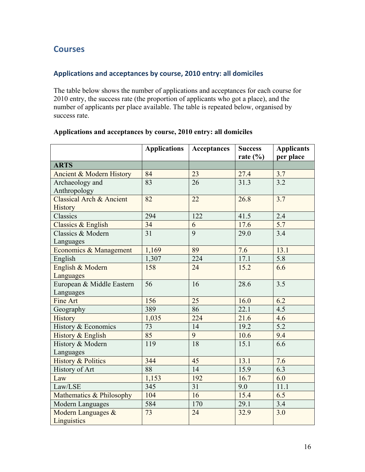## **Courses**

### Applications and acceptances by course, 2010 entry: all domiciles

The table below shows the number of applications and acceptances for each course for 2010 entry, the success rate (the proportion of applicants who got a place), and the number of applicants per place available. The table is repeated below, organised by success rate.

|                                     | <b>Applications</b> | Acceptances | <b>Success</b> | <b>Applicants</b> |
|-------------------------------------|---------------------|-------------|----------------|-------------------|
|                                     |                     |             | rate $(\% )$   | per place         |
| <b>ARTS</b>                         |                     |             |                |                   |
| Ancient & Modern History            | 84                  | 23          | 27.4           | 3.7               |
| Archaeology and                     | 83                  | 26          | 31.3           | 3.2               |
| Anthropology                        |                     |             |                |                   |
| <b>Classical Arch &amp; Ancient</b> | 82                  | 22          | 26.8           | 3.7               |
| History                             |                     |             |                |                   |
| Classics                            | 294                 | 122         | 41.5           | 2.4               |
| Classics & English                  | 34                  | 6           | 17.6           | 5.7               |
| Classics & Modern                   | 31                  | 9           | 29.0           | 3.4               |
| Languages                           |                     |             |                |                   |
| Economics & Management              | 1,169               | 89          | 7.6            | 13.1              |
| English                             | 1,307               | 224         | 17.1           | 5.8               |
| English & Modern                    | 158                 | 24          | 15.2           | 6.6               |
| Languages                           |                     |             |                |                   |
| European & Middle Eastern           | 56                  | 16          | 28.6           | 3.5               |
| Languages                           |                     |             |                |                   |
| Fine Art                            | 156                 | 25          | 16.0           | 6.2               |
| Geography                           | 389                 | 86          | 22.1           | $\overline{4.5}$  |
| History                             | 1,035               | 224         | 21.6           | 4.6               |
| History & Economics                 | 73                  | 14          | 19.2           | 5.2               |
| History & English                   | 85                  | 9           | 10.6           | 9.4               |
| History & Modern                    | 119                 | 18          | 15.1           | 6.6               |
| Languages                           |                     |             |                |                   |
| <b>History &amp; Politics</b>       | 344                 | 45          | 13.1           | 7.6               |
| History of Art                      | 88                  | 14          | 15.9           | 6.3               |
| Law                                 | 1,153               | 192         | 16.7           | 6.0               |
| Law/LSE                             | 345                 | 31          | 9.0            | 11.1              |
| Mathematics & Philosophy            | 104                 | 16          | 15.4           | 6.5               |
| Modern Languages                    | 584                 | 170         | 29.1           | 3.4               |
| Modern Languages &                  | 73                  | 24          | 32.9           | 3.0               |
| Linguistics                         |                     |             |                |                   |

### **Applications and acceptances by course, 2010 entry: all domiciles**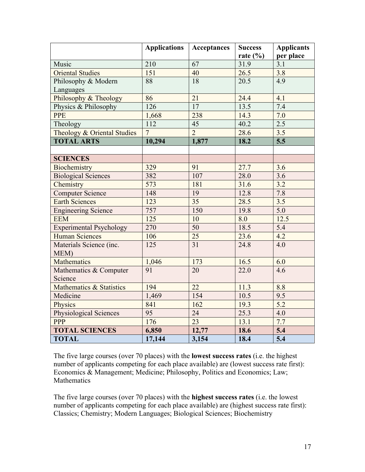|                                     | <b>Applications</b> | <b>Acceptances</b> | <b>Success</b> | <b>Applicants</b> |
|-------------------------------------|---------------------|--------------------|----------------|-------------------|
|                                     |                     |                    | rate $(\% )$   | per place         |
| Music                               | 210                 | 67                 | 31.9           | 3.1               |
| <b>Oriental Studies</b>             | 151                 | 40                 | 26.5           | 3.8               |
| Philosophy & Modern                 | 88                  | 18                 | 20.5           | 4.9               |
| Languages                           |                     |                    |                |                   |
| Philosophy & Theology               | 86                  | 21                 | 24.4           | 4.1               |
| Physics & Philosophy                | 126                 | $\overline{17}$    | 13.5           | 7.4               |
| <b>PPE</b>                          | 1,668               | 238                | 14.3           | 7.0               |
| Theology                            | 112                 | 45                 | 40.2           | 2.5               |
| Theology & Oriental Studies         | $\overline{7}$      | $\overline{2}$     | 28.6           | 3.5               |
| <b>TOTAL ARTS</b>                   | 10,294              | 1,877              | 18.2           | $\overline{5.5}$  |
|                                     |                     |                    |                |                   |
| <b>SCIENCES</b>                     |                     |                    |                |                   |
| Biochemistry                        | 329                 | 91                 | 27.7           | 3.6               |
| <b>Biological Sciences</b>          | 382                 | 107                | 28.0           | 3.6               |
| Chemistry                           | 573                 | 181                | 31.6           | 3.2               |
| <b>Computer Science</b>             | 148                 | 19                 | 12.8           | 7.8               |
| <b>Earth Sciences</b>               | 123                 | 35                 | 28.5           | 3.5               |
| <b>Engineering Science</b>          | 757                 | 150                | 19.8           | $\overline{5.0}$  |
| <b>EEM</b>                          | 125                 | 10                 | 8.0            | 12.5              |
| <b>Experimental Psychology</b>      | 270                 | 50                 | 18.5           | 5.4               |
| <b>Human Sciences</b>               | 106                 | 25                 | 23.6           | 4.2               |
| Materials Science (inc.             | 125                 | 31                 | 24.8           | 4.0               |
| MEM)                                |                     |                    |                |                   |
| Mathematics                         | 1,046               | 173                | 16.5           | 6.0               |
| Mathematics & Computer              | 91                  | 20                 | 22.0           | 4.6               |
| Science                             |                     |                    |                |                   |
| <b>Mathematics &amp; Statistics</b> | 194                 | 22                 | 11.3           | 8.8               |
| Medicine                            | 1,469               | 154                | 10.5           | 9.5               |
| Physics                             | 841                 | 162                | 19.3           | 5.2               |
| <b>Physiological Sciences</b>       | 95                  | 24                 | 25.3           | 4.0               |
| <b>PPP</b>                          | 176                 | 23                 | 13.1           | 7.7               |
| <b>TOTAL SCIENCES</b>               | 6,850               | 12,77              | 18.6           | 5.4               |
| <b>TOTAL</b>                        | 17,144              | 3,154              | 18.4           | $\overline{5.4}$  |

The five large courses (over 70 places) with the **lowest success rates** (i.e. the highest number of applicants competing for each place available) are (lowest success rate first): Economics & Management; Medicine; Philosophy, Politics and Economics; Law; Mathematics

The five large courses (over 70 places) with the **highest success rates** (i.e. the lowest number of applicants competing for each place available) are (highest success rate first): Classics; Chemistry; Modern Languages; Biological Sciences; Biochemistry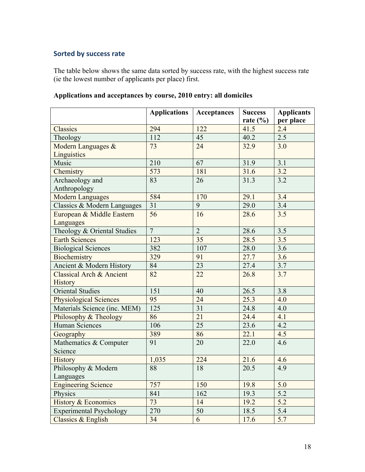### **Sorted by success rate**

The table below shows the same data sorted by success rate, with the highest success rate (ie the lowest number of applicants per place) first.

|                                     | <b>Applications</b> | Acceptances    | <b>Success</b> | <b>Applicants</b> |
|-------------------------------------|---------------------|----------------|----------------|-------------------|
|                                     |                     |                | rate $(\% )$   | per place         |
| Classics                            | 294                 | 122            | 41.5           | 2.4               |
| Theology                            | 112                 | 45             | 40.2           | 2.5               |
| Modern Languages &                  | 73                  | 24             | 32.9           | 3.0               |
| Linguistics                         |                     |                |                |                   |
| Music                               | 210                 | 67             | 31.9           | 3.1               |
| Chemistry                           | 573                 | 181            | 31.6           | 3.2               |
| Archaeology and                     | 83                  | 26             | 31.3           | 3.2               |
| Anthropology                        |                     |                |                |                   |
| <b>Modern Languages</b>             | 584                 | 170            | 29.1           | 3.4               |
| Classics & Modern Languages         | 31                  | 9              | 29.0           | 3.4               |
| European & Middle Eastern           | 56                  | 16             | 28.6           | 3.5               |
| Languages                           |                     |                |                |                   |
| Theology & Oriental Studies         | $\overline{7}$      | $\overline{2}$ | 28.6           | 3.5               |
| <b>Earth Sciences</b>               | 123                 | 35             | 28.5           | 3.5               |
| <b>Biological Sciences</b>          | 382                 | 107            | 28.0           | 3.6               |
| Biochemistry                        | 329                 | 91             | 27.7           | 3.6               |
| Ancient & Modern History            | 84                  | 23             | 27.4           | 3.7               |
| <b>Classical Arch &amp; Ancient</b> | 82                  | 22             | 26.8           | 3.7               |
| History                             |                     |                |                |                   |
| <b>Oriental Studies</b>             | 151                 | 40             | 26.5           | 3.8               |
| <b>Physiological Sciences</b>       | 95                  | 24             | 25.3           | 4.0               |
| Materials Science (inc. MEM)        | 125                 | 31             | 24.8           | 4.0               |
| Philosophy & Theology               | 86                  | 21             | 24.4           | 4.1               |
| Human Sciences                      | 106                 | 25             | 23.6           | 4.2               |
| Geography                           | 389                 | 86             | 22.1           | 4.5               |
| Mathematics & Computer              | 91                  | 20             | 22.0           | 4.6               |
| Science                             |                     |                |                |                   |
| History                             | 1,035               | 224            | 21.6           | 4.6               |
| Philosophy & Modern                 | 88                  | 18             | 20.5           | 4.9               |
| Languages                           |                     |                |                |                   |
| <b>Engineering Science</b>          | 757                 | 150            | 19.8           | 5.0               |
| Physics                             | 841                 | 162            | 19.3           | 5.2               |
| History & Economics                 | 73                  | 14             | 19.2           | 5.2               |
| <b>Experimental Psychology</b>      | 270                 | 50             | 18.5           | 5.4               |
| Classics & English                  | 34                  | 6              | 17.6           | 5.7               |

### **Applications and acceptances by course, 2010 entry: all domiciles**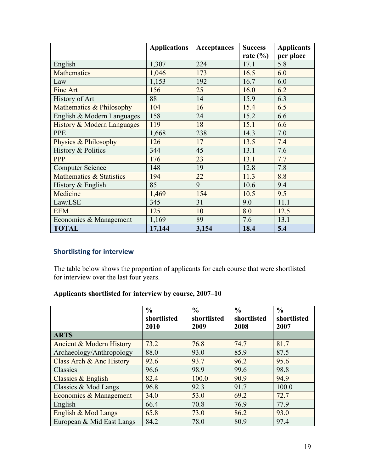|                            | <b>Applications</b> | Acceptances | <b>Success</b> | <b>Applicants</b> |
|----------------------------|---------------------|-------------|----------------|-------------------|
|                            |                     |             | rate $(\% )$   | per place         |
| English                    | 1,307               | 224         | 17.1           | 5.8               |
| Mathematics                | 1,046               | 173         | 16.5           | 6.0               |
| Law                        | 1,153               | 192         | 16.7           | 6.0               |
| Fine Art                   | 156                 | 25          | 16.0           | 6.2               |
| History of Art             | 88                  | 14          | 15.9           | 6.3               |
| Mathematics & Philosophy   | 104                 | 16          | 15.4           | 6.5               |
| English & Modern Languages | 158                 | 24          | 15.2           | 6.6               |
| History & Modern Languages | 119                 | 18          | 15.1           | 6.6               |
| <b>PPE</b>                 | 1,668               | 238         | 14.3           | 7.0               |
| Physics & Philosophy       | 126                 | 17          | 13.5           | 7.4               |
| History & Politics         | 344                 | 45          | 13.1           | 7.6               |
| <b>PPP</b>                 | 176                 | 23          | 13.1           | 7.7               |
| <b>Computer Science</b>    | 148                 | 19          | 12.8           | 7.8               |
| Mathematics & Statistics   | 194                 | 22          | 11.3           | 8.8               |
| History & English          | 85                  | 9           | 10.6           | 9.4               |
| Medicine                   | 1,469               | 154         | 10.5           | 9.5               |
| Law/LSE                    | 345                 | 31          | 9.0            | 11.1              |
| <b>EEM</b>                 | 125                 | 10          | 8.0            | 12.5              |
| Economics & Management     | 1,169               | 89          | 7.6            | 13.1              |
| <b>TOTAL</b>               | 17,144              | 3,154       | 18.4           | 5.4               |

### **Shortlisting for interview**

The table below shows the proportion of applicants for each course that were shortlisted for interview over the last four years.

## **Applicants shortlisted for interview by course, 2007–10**

|                           | $\frac{0}{0}$<br>shortlisted<br>2010 | $\frac{0}{0}$<br>shortlisted<br>2009 | $\frac{0}{0}$<br>shortlisted<br>2008 | $\frac{0}{0}$<br>shortlisted<br>2007 |
|---------------------------|--------------------------------------|--------------------------------------|--------------------------------------|--------------------------------------|
| <b>ARTS</b>               |                                      |                                      |                                      |                                      |
| Ancient & Modern History  | 73.2                                 | 76.8                                 | 74.7                                 | 81.7                                 |
| Archaeology/Anthropology  | 88.0                                 | 93.0                                 | 85.9                                 | 87.5                                 |
| Class Arch & Anc History  | 92.6                                 | 93.7                                 | 96.2                                 | 95.6                                 |
| Classics                  | 96.6                                 | 98.9                                 | 99.6                                 | 98.8                                 |
| Classics $&$ English      | 82.4                                 | 100.0                                | 90.9                                 | 94.9                                 |
| Classics & Mod Langs      | 96.8                                 | 92.3                                 | 91.7                                 | 100.0                                |
| Economics & Management    | 34.0                                 | 53.0                                 | 69.2                                 | 72.7                                 |
| English                   | 66.4                                 | 70.8                                 | 76.9                                 | 77.9                                 |
| English & Mod Langs       | 65.8                                 | 73.0                                 | 86.2                                 | 93.0                                 |
| European & Mid East Langs | 84.2                                 | 78.0                                 | 80.9                                 | 97.4                                 |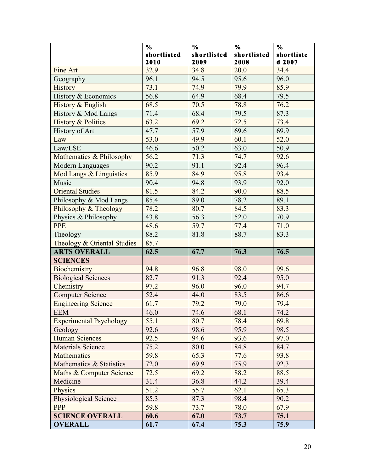|                                | $\%$        | $\frac{6}{9}$ | %           | %          |
|--------------------------------|-------------|---------------|-------------|------------|
|                                | shortlisted | shortlisted   | shortlisted | shortliste |
|                                | 2010        | 2009          | 2008        | d 2007     |
| Fine Art                       | 32.9        | 34.8          | 20.0        | 34.4       |
| Geography                      | 96.1        | 94.5          | 95.6        | 96.0       |
| History                        | 73.1        | 74.9          | 79.9        | 85.9       |
| History & Economics            | 56.8        | 64.9          | 68.4        | 79.5       |
| History & English              | 68.5        | 70.5          | 78.8        | 76.2       |
| History & Mod Langs            | 71.4        | 68.4          | 79.5        | 87.3       |
| History & Politics             | 63.2        | 69.2          | 72.5        | 73.4       |
| History of Art                 | 47.7        | 57.9          | 69.6        | 69.9       |
| Law                            | 53.0        | 49.9          | 60.1        | 52.0       |
| Law/LSE                        | 46.6        | 50.2          | 63.0        | 50.9       |
| Mathematics & Philosophy       | 56.2        | 71.3          | 74.7        | 92.6       |
| Modern Languages               | 90.2        | 91.1          | 92.4        | 96.4       |
| Mod Langs & Linguistics        | 85.9        | 84.9          | 95.8        | 93.4       |
| Music                          | 90.4        | 94.8          | 93.9        | 92.0       |
| <b>Oriental Studies</b>        | 81.5        | 84.2          | 90.0        | 88.5       |
| Philosophy & Mod Langs         | 85.4        | 89.0          | 78.2        | 89.1       |
| Philosophy & Theology          | 78.2        | 80.7          | 84.5        | 83.3       |
| Physics & Philosophy           | 43.8        | 56.3          | 52.0        | 70.9       |
| <b>PPE</b>                     | 48.6        | 59.7          | 77.4        | 71.0       |
| Theology                       | 88.2        | 81.8          | 88.7        | 83.3       |
| Theology & Oriental Studies    | 85.7        |               |             |            |
| <b>ARTS OVERALL</b>            | 62.5        | 67.7          | 76.3        | 76.5       |
| <b>SCIENCES</b>                |             |               |             |            |
| Biochemistry                   | 94.8        | 96.8          | 98.0        | 99.6       |
| <b>Biological Sciences</b>     | 82.7        | 91.3          | 92.4        | 95.0       |
| Chemistry                      | 97.2        | 96.0          | 96.0        | 94.7       |
| <b>Computer Science</b>        | 52.4        | 44.0          | 83.5        | 86.6       |
| <b>Engineering Science</b>     | 61.7        | 79.2          | 79.0        | 79.4       |
| <b>EEM</b>                     | 46.0        | 74.6          | 68.1        | 74.2       |
| <b>Experimental Psychology</b> | 55.1        | 80.7          | 78.4        | 69.8       |
| Geology                        | 92.6        | 98.6          | 95.9        | 98.5       |
|                                | 92.5        | 94.6          |             | 97.0       |
| Human Sciences                 |             |               | 93.6        |            |
| <b>Materials Science</b>       | 75.2        | 80.0          | 84.8        | 84.7       |
| Mathematics                    | 59.8        | 65.3          | 77.6        | 93.8       |
| Mathematics & Statistics       | 72.0        | 69.9          | 75.9        | 92.3       |
| Maths & Computer Science       | 72.5        | 69.2          | 88.2        | 88.5       |
| Medicine                       | 31.4        | 36.8          | 44.2        | 39.4       |
| Physics                        | 51.2        | 55.7          | 62.1        | 65.3       |
| Physiological Science          | 85.3        | 87.3          | 98.4        | 90.2       |
| <b>PPP</b>                     | 59.8        | 73.7          | 78.0        | 67.9       |
| <b>SCIENCE OVERALL</b>         | 60.6        | 67.0          | 73.7        | 75.1       |
| <b>OVERALL</b>                 | 61.7        | 67.4          | 75.3        | 75.9       |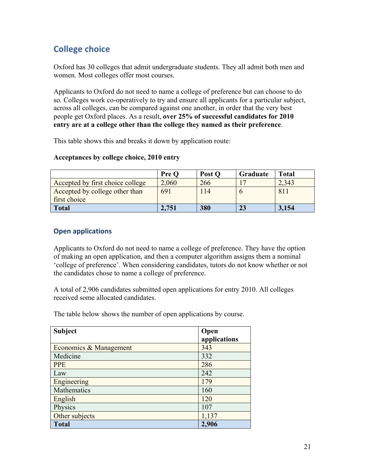# **College choice**

Oxford has 30 colleges that admit undergraduate students. They all admit both men and women. Most colleges offer most courses.

Applicants to Oxford do not need to name a college of preference but can choose to do so. Colleges work co-operatively to try and ensure all applicants for a particular subject, across all colleges, can be compared against one another, in order that the very best people get Oxford places. As a result, **over 25% of successful candidates for 2010 entry are at a college other than the college they named as their preference**.

This table shows this and breaks it down by application route:

### **Acceptances by college choice, 2010 entry**

|                                  | Pre O | Post Q | Graduate | <b>Total</b> |
|----------------------------------|-------|--------|----------|--------------|
| Accepted by first choice college | 2,060 | 266    |          | .343         |
| Accepted by college other than   | 691   | 14     |          | 811          |
| first choice                     |       |        |          |              |
| <b>Total</b>                     | 2,751 | 380    | 23       | 3,154        |

## **Open applications**

Applicants to Oxford do not need to name a college of preference. They have the option of making an open application, and then a computer algorithm assigns them a nominal 'college of preference'. When considering candidates, tutors do not know whether or not the candidates chose to name a college of preference.

A total of 2,906 candidates submitted open applications for entry 2010. All colleges received some allocated candidates.

The table below shows the number of open applications by course.

| <b>Subject</b>         | Open         |
|------------------------|--------------|
|                        | applications |
| Economics & Management | 343          |
| Medicine               | 332          |
| <b>PPE</b>             | 286          |
| Law                    | 242          |
| Engineering            | 179          |
| Mathematics            | 160          |
| English                | 120          |
| Physics                | 107          |
| Other subjects         | 1,137        |
| <b>Total</b>           | 2,906        |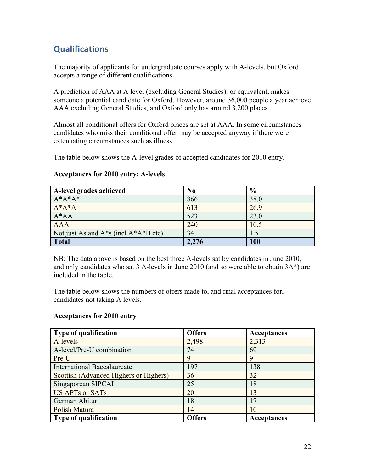# **Qualifications**

The majority of applicants for undergraduate courses apply with A-levels, but Oxford accepts a range of different qualifications.

A prediction of AAA at A level (excluding General Studies), or equivalent, makes someone a potential candidate for Oxford. However, around 36,000 people a year achieve AAA excluding General Studies, and Oxford only has around 3,200 places.

Almost all conditional offers for Oxford places are set at AAA. In some circumstances candidates who miss their conditional offer may be accepted anyway if there were extenuating circumstances such as illness.

The table below shows the A-level grades of accepted candidates for 2010 entry.

| A-level grades achieved                     | N <sub>0</sub> | $\frac{0}{0}$ |
|---------------------------------------------|----------------|---------------|
| $A^*A^*A^*$                                 | 866            | 38.0          |
| $A^*A^*A$                                   | 613            | 26.9          |
| $A^*AA$                                     | 523            | 23.0          |
| <b>AAA</b>                                  | 240            | 10.5          |
| Not just As and $A^*s$ (incl $A^*A^*B$ etc) | 34             |               |
| <b>Total</b>                                | 2,276          | 100           |

### **Acceptances for 2010 entry: A-levels**

NB: The data above is based on the best three A-levels sat by candidates in June 2010, and only candidates who sat 3 A-levels in June 2010 (and so were able to obtain 3A\*) are included in the table.

The table below shows the numbers of offers made to, and final acceptances for, candidates not taking A levels.

### **Acceptances for 2010 entry**

| <b>Type of qualification</b>           | <b>Offers</b> | <b>Acceptances</b> |
|----------------------------------------|---------------|--------------------|
| A-levels                               | 2,498         | 2,313              |
| A-level/Pre-U combination              | 74            | 69                 |
| Pre-U                                  | 9             | 9                  |
| <b>International Baccalaureate</b>     | 197           | 138                |
| Scottish (Advanced Highers or Highers) | 36            | 32                 |
| Singaporean SIPCAL                     | 25            | 18                 |
| <b>US APTs or SATs</b>                 | 20            | 13                 |
| German Abitur                          | 18            | 17                 |
| Polish Matura                          | 14            | 10                 |
| <b>Type of qualification</b>           | <b>Offers</b> | Acceptances        |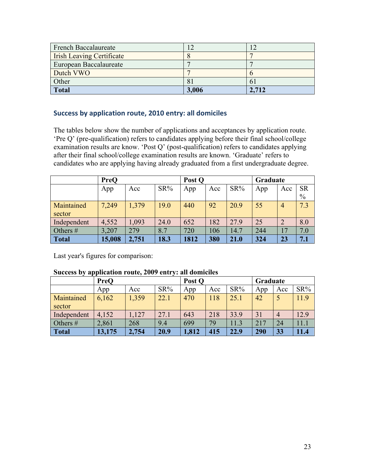| <b>French Baccalaureate</b>      |       |       |
|----------------------------------|-------|-------|
| <b>Irish Leaving Certificate</b> |       |       |
| European Baccalaureate           |       |       |
| Dutch VWO                        |       |       |
| Other                            |       | h I   |
| <b>Total</b>                     | 3,006 | 2.712 |

## Success by application route, 2010 entry: all domiciles

The tables below show the number of applications and acceptances by application route. 'Pre Q' (pre-qualification) refers to candidates applying before their final school/college examination results are know. 'Post Q' (post-qualification) refers to candidates applying after their final school/college examination results are known. 'Graduate' refers to candidates who are applying having already graduated from a first undergraduate degree.

|              | PreQ   |       |        | Post Q |     |        | Graduate |                |           |
|--------------|--------|-------|--------|--------|-----|--------|----------|----------------|-----------|
|              | App    | Acc   | $SR\%$ | App    | Acc | $SR\%$ | App      | Acc            | <b>SR</b> |
|              |        |       |        |        |     |        |          |                | $\%$      |
| Maintained   | 7,249  | 1,379 | 19.0   | 440    | 92  | 20.9   | 55       | $\overline{4}$ | 7.3       |
| sector       |        |       |        |        |     |        |          |                |           |
| Independent  | 4,552  | 1,093 | 24.0   | 652    | 182 | 27.9   | 25       |                | 8.0       |
| Others $#$   | 3,207  | 279   | 8.7    | 720    | 106 | 14.7   | 244      | 17             | 7.0       |
| <b>Total</b> | 15,008 | 2,751 | 18.3   | 1812   | 380 | 21.0   | 324      | 23             | 7.1       |

Last year's figures for comparison:

### **Success by application route, 2009 entry: all domiciles**

|              | PreO   |       |        | Post Q |     |        | Graduate |     |        |
|--------------|--------|-------|--------|--------|-----|--------|----------|-----|--------|
|              | App    | Acc   | $SR\%$ | App    | Acc | $SR\%$ | App      | Acc | $SR\%$ |
| Maintained   | 6,162  | 1,359 | 22.1   | 470    | 118 | 25.1   | 42       |     | 11.9   |
| sector       |        |       |        |        |     |        |          |     |        |
| Independent  | 4,152  | 1,127 | 27.1   | 643    | 218 | 33.9   | 31       | 4   | 12.9   |
| Others $#$   | 2,861  | 268   | 9.4    | 699    | 79  | 11.3   | 217      | 24  | 11.1   |
| <b>Total</b> | 13,175 | 2,754 | 20.9   | 1,812  | 415 | 22.9   | 290      | 33  | 11.4   |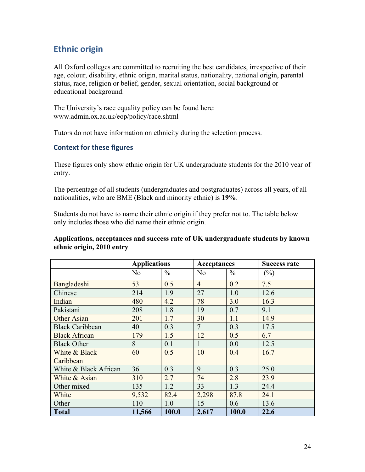# **Ethnic origin**

All Oxford colleges are committed to recruiting the best candidates, irrespective of their age, colour, disability, ethnic origin, marital status, nationality, national origin, parental status, race, religion or belief, gender, sexual orientation, social background or educational background.

The University's race equality policy can be found here: www.admin.ox.ac.uk/eop/policy/race.shtml

Tutors do not have information on ethnicity during the selection process.

### **Context for these figures**

These figures only show ethnic origin for UK undergraduate students for the 2010 year of entry.

The percentage of all students (undergraduates and postgraduates) across all years, of all nationalities, who are BME (Black and minority ethnic) is **19%**.

Students do not have to name their ethnic origin if they prefer not to. The table below only includes those who did name their ethnic origin.

### **Applications, acceptances and success rate of UK undergraduate students by known ethnic origin, 2010 entry**

|                        | <b>Applications</b> |               | Acceptances    |               | <b>Success rate</b> |
|------------------------|---------------------|---------------|----------------|---------------|---------------------|
|                        | N <sub>0</sub>      | $\frac{0}{0}$ | N <sub>0</sub> | $\frac{0}{0}$ | $(\%)$              |
| Bangladeshi            | 53                  | 0.5           | $\overline{4}$ | 0.2           | 7.5                 |
| Chinese                | 214                 | 1.9           | 27             | 1.0           | 12.6                |
| Indian                 | 480                 | 4.2           | 78             | 3.0           | 16.3                |
| Pakistani              | 208                 | 1.8           | 19             | 0.7           | 9.1                 |
| Other Asian            | 201                 | 1.7           | 30             | 1.1           | 14.9                |
| <b>Black Caribbean</b> | 40                  | 0.3           | $\overline{7}$ | 0.3           | 17.5                |
| <b>Black African</b>   | 179                 | 1.5           | 12             | 0.5           | 6.7                 |
| <b>Black Other</b>     | 8                   | 0.1           | $\mathbf{1}$   | 0.0           | 12.5                |
| White & Black          | 60                  | 0.5           | 10             | 0.4           | 16.7                |
| Caribbean              |                     |               |                |               |                     |
| White & Black African  | 36                  | 0.3           | 9              | 0.3           | 25.0                |
| White & Asian          | 310                 | 2.7           | 74             | 2.8           | 23.9                |
| Other mixed            | 135                 | 1.2           | 33             | 1.3           | 24.4                |
| White                  | 9,532               | 82.4          | 2,298          | 87.8          | 24.1                |
| Other                  | 110                 | 1.0           | 15             | 0.6           | 13.6                |
| <b>Total</b>           | 11,566              | 100.0         | 2,617          | 100.0         | 22.6                |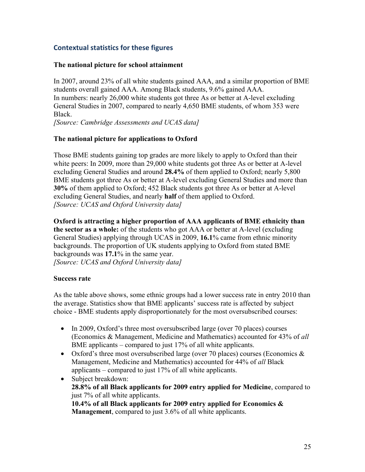### **Contextual statistics for these figures**

### **The national picture for school attainment**

In 2007, around 23% of all white students gained AAA, and a similar proportion of BME students overall gained AAA. Among Black students, 9.6% gained AAA. In numbers: nearly 26,000 white students got three As or better at A-level excluding General Studies in 2007, compared to nearly 4,650 BME students, of whom 353 were Black.

*[Source: Cambridge Assessments and UCAS data]*

### **The national picture for applications to Oxford**

Those BME students gaining top grades are more likely to apply to Oxford than their white peers: In 2009, more than 29,000 white students got three As or better at A-level excluding General Studies and around **28.4%** of them applied to Oxford; nearly 5,800 BME students got three As or better at A-level excluding General Studies and more than **30%** of them applied to Oxford; 452 Black students got three As or better at A-level excluding General Studies, and nearly **half** of them applied to Oxford. *[Source: UCAS and Oxford University data]*

**Oxford is attracting a higher proportion of AAA applicants of BME ethnicity than the sector as a whole:** of the students who got AAA or better at A-level (excluding General Studies) applying through UCAS in 2009, **16.1**% came from ethnic minority backgrounds. The proportion of UK students applying to Oxford from stated BME backgrounds was **17.1**% in the same year. *[Source: UCAS and Oxford University data]*

#### **Success rate**

As the table above shows, some ethnic groups had a lower success rate in entry 2010 than the average. Statistics show that BME applicants' success rate is affected by subject choice - BME students apply disproportionately for the most oversubscribed courses:

- In 2009, Oxford's three most oversubscribed large (over 70 places) courses (Economics & Management, Medicine and Mathematics) accounted for 43% of *all* BME applicants – compared to just 17% of all white applicants.
- Oxford's three most oversubscribed large (over 70 places) courses (Economics & Management, Medicine and Mathematics) accounted for 44% of *all* Black applicants – compared to just 17% of all white applicants.
- Subject breakdown: **28.8% of all Black applicants for 2009 entry applied for Medicine**, compared to just 7% of all white applicants. **10.4% of all Black applicants for 2009 entry applied for Economics & Management**, compared to just 3.6% of all white applicants.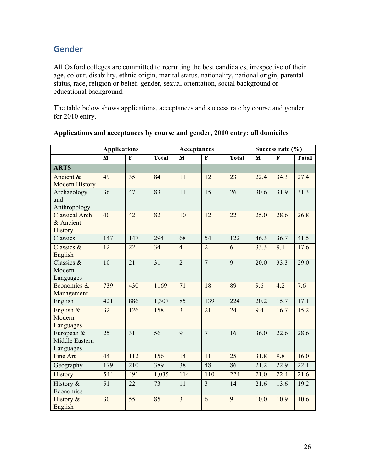## **Gender**

All Oxford colleges are committed to recruiting the best candidates, irrespective of their age, colour, disability, ethnic origin, marital status, nationality, national origin, parental status, race, religion or belief, gender, sexual orientation, social background or educational background.

The table below shows applications, acceptances and success rate by course and gender for 2010 entry.

|                                               | <b>Applications</b>     |                         |              | Acceptances             |                         |                | Success rate $(\% )$    |                         |              |
|-----------------------------------------------|-------------------------|-------------------------|--------------|-------------------------|-------------------------|----------------|-------------------------|-------------------------|--------------|
|                                               | $\overline{\mathbf{M}}$ | $\overline{\mathbf{F}}$ | <b>Total</b> | $\overline{\mathbf{M}}$ | $\overline{\mathbf{F}}$ | <b>Total</b>   | $\overline{\mathbf{M}}$ | $\overline{\mathbf{F}}$ | <b>Total</b> |
| <b>ARTS</b>                                   |                         |                         |              |                         |                         |                |                         |                         |              |
| Ancient &<br><b>Modern History</b>            | 49                      | 35                      | 84           | 11                      | 12                      | 23             | 22.4                    | 34.3                    | 27.4         |
| Archaeology<br>and<br>Anthropology            | 36                      | 47                      | 83           | 11                      | 15                      | 26             | 30.6                    | 31.9                    | 31.3         |
| <b>Classical Arch</b><br>& Ancient<br>History | 40                      | 42                      | 82           | 10                      | 12                      | 22             | 25.0                    | 28.6                    | 26.8         |
| Classics                                      | 147                     | 147                     | 294          | 68                      | 54                      | 122            | 46.3                    | 36.7                    | 41.5         |
| Classics &<br>English                         | 12                      | 22                      | 34           | $\overline{4}$          | $\overline{2}$          | 6              | 33.3                    | 9.1                     | 17.6         |
| Classics &<br>Modern<br>Languages             | 10                      | 21                      | 31           | $\overline{2}$          | $\overline{7}$          | $\overline{9}$ | 20.0                    | 33.3                    | 29.0         |
| Economics &<br>Management                     | 739                     | 430                     | 1169         | 71                      | 18                      | 89             | 9.6                     | 4.2                     | 7.6          |
| English                                       | 421                     | 886                     | 1,307        | 85                      | 139                     | 224            | 20.2                    | 15.7                    | 17.1         |
| English $\&$<br>Modern<br>Languages           | 32                      | 126                     | 158          | $\overline{3}$          | 21                      | 24             | 9.4                     | 16.7                    | 15.2         |
| European &<br>Middle Eastern<br>Languages     | $\overline{25}$         | 31                      | 56           | $\overline{9}$          | $\overline{7}$          | 16             | 36.0                    | 22.6                    | 28.6         |
| Fine Art                                      | 44                      | 112                     | 156          | 14                      | 11                      | 25             | 31.8                    | 9.8                     | 16.0         |
| Geography                                     | 179                     | 210                     | 389          | 38                      | 48                      | 86             | 21.2                    | 22.9                    | 22.1         |
| History                                       | 544                     | 491                     | 1,035        | 114                     | 110                     | 224            | 21.0                    | 22.4                    | 21.6         |
| History &<br>Economics                        | 51                      | 22                      | 73           | 11                      | $\overline{3}$          | 14             | 21.6                    | 13.6                    | 19.2         |
| History &<br>English                          | 30                      | 55                      | 85           | $\overline{3}$          | 6                       | 9              | 10.0                    | 10.9                    | 10.6         |

### **Applications and acceptances by course and gender, 2010 entry: all domiciles**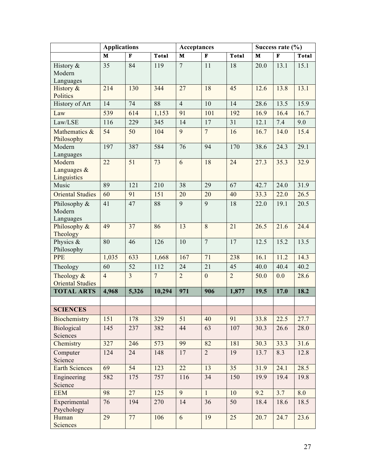|                                         | <b>Applications</b> |                |                | Acceptances    |                |                 | Success rate $(\% )$ |                  |              |
|-----------------------------------------|---------------------|----------------|----------------|----------------|----------------|-----------------|----------------------|------------------|--------------|
|                                         | $\mathbf M$         | $\mathbf{F}$   | Total          | $\mathbf M$    | $\mathbf F$    | <b>Total</b>    | $\mathbf M$          | $\mathbf F$      | <b>Total</b> |
| History &                               | 35                  | 84             | 119            | $\overline{7}$ | 11             | 18              | 20.0                 | 13.1             | 15.1         |
| Modern                                  |                     |                |                |                |                |                 |                      |                  |              |
| Languages                               |                     |                |                |                |                |                 |                      |                  |              |
| History $\&$<br>Politics                | 214                 | 130            | 344            | 27             | 18             | 45              | 12.6                 | 13.8             | 13.1         |
| History of Art                          | 14                  | 74             | 88             | $\overline{4}$ | 10             | 14              | 28.6                 | 13.5             | 15.9         |
| Law                                     | 539                 | 614            | 1,153          | 91             | 101            | 192             | 16.9                 | 16.4             | 16.7         |
| Law/LSE                                 | 116                 | 229            | 345            | 14             | 17             | 31              | 12.1                 | 7.4              | 9.0          |
| Mathematics &                           | 54                  | 50             | 104            | 9              | $\overline{7}$ | 16              | 16.7                 | 14.0             | 15.4         |
| Philosophy                              |                     |                |                |                |                |                 |                      |                  |              |
| Modern<br>Languages                     | 197                 | 387            | 584            | 76             | 94             | 170             | 38.6                 | 24.3             | 29.1         |
| Modern                                  | 22                  | 51             | 73             | 6              | 18             | 24              | 27.3                 | 35.3             | 32.9         |
| Languages $&$<br>Linguistics            |                     |                |                |                |                |                 |                      |                  |              |
| Music                                   | 89                  | 121            | 210            | 38             | 29             | 67              | 42.7                 | 24.0             | 31.9         |
| <b>Oriental Studies</b>                 | 60                  | 91             | 151            | 20             | 20             | 40              | 33.3                 | 22.0             | 26.5         |
| Philosophy &                            | 41                  | 47             | 88             | 9              | 9              | 18              | 22.0                 | 19.1             | 20.5         |
| Modern<br>Languages                     |                     |                |                |                |                |                 |                      |                  |              |
| Philosophy &                            | 49                  | 37             | 86             | 13             | 8              | $\overline{21}$ | 26.5                 | 21.6             | 24.4         |
| Theology                                |                     |                |                |                |                |                 |                      |                  |              |
| Physics &<br>Philosophy                 | 80                  | 46             | 126            | 10             | $\overline{7}$ | $\overline{17}$ | 12.5                 | 15.2             | 13.5         |
| <b>PPE</b>                              | 1,035               | 633            | 1,668          | 167            | 71             | 238             | 16.1                 | 11.2             | 14.3         |
| Theology                                | 60                  | 52             | 112            | 24             | 21             | 45              | 40.0                 | 40.4             | 40.2         |
| Theology $&$<br><b>Oriental Studies</b> | $\overline{4}$      | $\overline{3}$ | $\overline{7}$ | $\overline{2}$ | $\overline{0}$ | $\overline{2}$  | 50.0                 | 0.0              | 28.6         |
| <b>TOTAL ARTS</b>                       | 4,968               | 5,326          | 10,294         | 971            | 906            | 1,877           | 19.5                 | 17.0             | 18.2         |
|                                         |                     |                |                |                |                |                 |                      |                  |              |
| <b>SCIENCES</b>                         |                     |                |                |                |                |                 |                      |                  |              |
| Biochemistry                            | 151                 | 178            | 329            | 51             | 40             | 91              | 33.8                 | 22.5             | 27.7         |
| Biological                              | 145                 | 237            | 382            | 44             | 63             | 107             | 30.3                 | 26.6             | 28.0         |
| Sciences                                | 327                 | 246            | 573            | 99             | 82             | 181             | 30.3                 | 33.3             | 31.6         |
| Chemistry                               |                     |                |                |                |                |                 |                      |                  |              |
| Computer<br>Science                     | 124                 | 24             | 148            | 17             | $\overline{2}$ | 19              | 13.7                 | 8.3              | 12.8         |
| <b>Earth Sciences</b>                   | 69                  | 54             | 123            | 22             | 13             | 35              | 31.9                 | 24.1             | 28.5         |
| Engineering                             | 582                 | 175            | 757            | 116            | 34             | 150             | 19.9                 | 19.4             | 19.8         |
| Science                                 |                     |                |                |                |                |                 |                      |                  |              |
| <b>EEM</b>                              | 98                  | 27             | 125            | $\overline{9}$ | $\mathbf{1}$   | 10              | 9.2                  | $\overline{3.7}$ | 8.0          |
| Experimental<br>Psychology              | 76                  | 194            | 270            | 14             | 36             | 50              | 18.4                 | 18.6             | 18.5         |
| Human                                   | 29                  | 77             | 106            | 6              | 19             | 25              | 20.7                 | 24.7             | 23.6         |
| Sciences                                |                     |                |                |                |                |                 |                      |                  |              |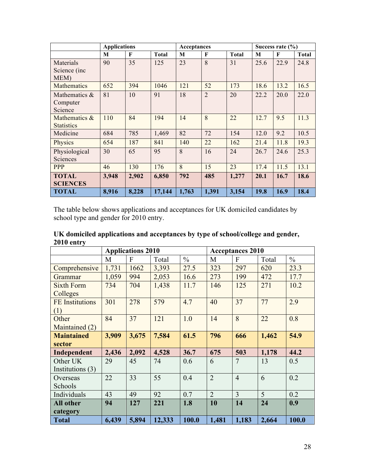|                   | <b>Applications</b> |             |              | Acceptances |                |              | Success rate $(\% )$ |             |              |
|-------------------|---------------------|-------------|--------------|-------------|----------------|--------------|----------------------|-------------|--------------|
|                   | M                   | $\mathbf F$ | <b>Total</b> | M           | F              | <b>Total</b> | M                    | $\mathbf F$ | <b>Total</b> |
| Materials         | 90                  | 35          | 125          | 23          | 8              | 31           | 25.6                 | 22.9        | 24.8         |
| Science (inc.     |                     |             |              |             |                |              |                      |             |              |
| MEM)              |                     |             |              |             |                |              |                      |             |              |
| Mathematics       | 652                 | 394         | 1046         | 121         | 52             | 173          | 18.6                 | 13.2        | 16.5         |
| Mathematics &     | 81                  | 10          | 91           | 18          | $\overline{2}$ | 20           | 22.2                 | 20.0        | 22.0         |
| Computer          |                     |             |              |             |                |              |                      |             |              |
| Science           |                     |             |              |             |                |              |                      |             |              |
| Mathematics $\&$  | 110                 | 84          | 194          | 14          | 8              | 22           | 12.7                 | 9.5         | 11.3         |
| <b>Statistics</b> |                     |             |              |             |                |              |                      |             |              |
| Medicine          | 684                 | 785         | 1,469        | 82          | 72             | 154          | 12.0                 | 9.2         | 10.5         |
| Physics           | 654                 | 187         | 841          | 140         | 22             | 162          | 21.4                 | 11.8        | 19.3         |
| Physiological     | 30                  | 65          | 95           | 8           | 16             | 24           | 26.7                 | 24.6        | 25.3         |
| Sciences          |                     |             |              |             |                |              |                      |             |              |
| <b>PPP</b>        | 46                  | 130         | 176          | 8           | 15             | 23           | 17.4                 | 11.5        | 13.1         |
| <b>TOTAL</b>      | 3,948               | 2,902       | 6,850        | 792         | 485            | 1,277        | 20.1                 | 16.7        | 18.6         |
| <b>SCIENCES</b>   |                     |             |              |             |                |              |                      |             |              |
| <b>TOTAL</b>      | 8,916               | 8,228       | 17,144       | 1,763       | 1,391          | 3,154        | 19.8                 | 16.9        | 18.4         |

The table below shows applications and acceptances for UK domiciled candidates by school type and gender for 2010 entry.

| UK domiciled applications and acceptances by type of school/college and gender, |  |
|---------------------------------------------------------------------------------|--|
| $2010$ entry                                                                    |  |

|                        |       | <b>Applications 2010</b> |        |               | <b>Acceptances 2010</b> |                |       |               |
|------------------------|-------|--------------------------|--------|---------------|-------------------------|----------------|-------|---------------|
|                        | M     | F                        | Total  | $\frac{0}{0}$ | M                       | $\mathbf F$    | Total | $\frac{0}{0}$ |
| Comprehensive          | 1,731 | 1662                     | 3,393  | 27.5          | 323                     | 297            | 620   | 23.3          |
| Grammar                | 1,059 | 994                      | 2,053  | 16.6          | 273                     | 199            | 472   | 17.7          |
| <b>Sixth Form</b>      | 734   | 704                      | 1,438  | 11.7          | 146                     | 125            | 271   | 10.2          |
| Colleges               |       |                          |        |               |                         |                |       |               |
| <b>FE</b> Institutions | 301   | 278                      | 579    | 4.7           | 40                      | 37             | 77    | 2.9           |
| (1)                    |       |                          |        |               |                         |                |       |               |
| Other                  | 84    | 37                       | 121    | 1.0           | 14                      | 8              | 22    | 0.8           |
| Maintained (2)         |       |                          |        |               |                         |                |       |               |
| <b>Maintained</b>      | 3,909 | 3,675                    | 7,584  | 61.5          | 796                     | 666            | 1,462 | 54.9          |
| sector                 |       |                          |        |               |                         |                |       |               |
| Independent            | 2,436 | 2,092                    | 4,528  | 36.7          | 675                     | 503            | 1,178 | 44.2          |
| Other UK               | 29    | 45                       | 74     | 0.6           | 6                       | $\overline{7}$ | 13    | 0.5           |
| Institutions (3)       |       |                          |        |               |                         |                |       |               |
| Overseas               | 22    | 33                       | 55     | 0.4           | $\overline{2}$          | $\overline{4}$ | 6     | 0.2           |
| Schools                |       |                          |        |               |                         |                |       |               |
| Individuals            | 43    | 49                       | 92     | 0.7           | $\overline{2}$          | $\overline{3}$ | 5     | 0.2           |
| <b>All other</b>       | 94    | 127                      | 221    | 1.8           | 10                      | 14             | 24    | 0.9           |
| category               |       |                          |        |               |                         |                |       |               |
| <b>Total</b>           | 6,439 | 5,894                    | 12,333 | 100.0         | 1,481                   | 1,183          | 2,664 | 100.0         |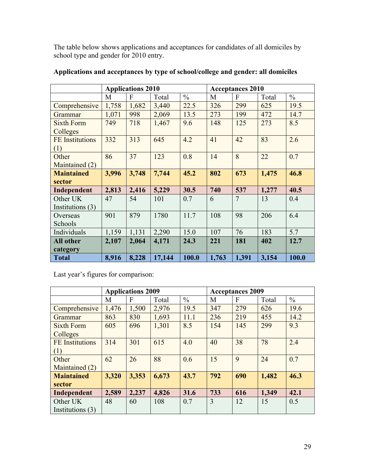The table below shows applications and acceptances for candidates of all domiciles by school type and gender for 2010 entry.

|                        |       | <b>Applications 2010</b> |        |               |       | <b>Acceptances 2010</b> |       |               |
|------------------------|-------|--------------------------|--------|---------------|-------|-------------------------|-------|---------------|
|                        | M     | F                        | Total  | $\frac{0}{0}$ | M     | F                       | Total | $\frac{0}{0}$ |
| Comprehensive          | 1,758 | 1,682                    | 3,440  | 22.5          | 326   | 299                     | 625   | 19.5          |
| Grammar                | 1,071 | 998                      | 2,069  | 13.5          | 273   | 199                     | 472   | 14.7          |
| <b>Sixth Form</b>      | 749   | 718                      | 1,467  | 9.6           | 148   | 125                     | 273   | 8.5           |
| Colleges               |       |                          |        |               |       |                         |       |               |
| <b>FE</b> Institutions | 332   | 313                      | 645    | 4.2           | 41    | 42                      | 83    | 2.6           |
| (1)                    |       |                          |        |               |       |                         |       |               |
| Other                  | 86    | 37                       | 123    | 0.8           | 14    | 8                       | 22    | 0.7           |
| Maintained (2)         |       |                          |        |               |       |                         |       |               |
| <b>Maintained</b>      | 3,996 | 3,748                    | 7,744  | 45.2          | 802   | 673                     | 1,475 | 46.8          |
| sector                 |       |                          |        |               |       |                         |       |               |
| Independent            | 2,813 | 2,416                    | 5,229  | 30.5          | 740   | 537                     | 1,277 | 40.5          |
| Other UK               | 47    | 54                       | 101    | 0.7           | 6     | $\overline{7}$          | 13    | 0.4           |
| Institutions (3)       |       |                          |        |               |       |                         |       |               |
| Overseas               | 901   | 879                      | 1780   | 11.7          | 108   | 98                      | 206   | 6.4           |
| Schools                |       |                          |        |               |       |                         |       |               |
| Individuals            | 1,159 | 1,131                    | 2,290  | 15.0          | 107   | 76                      | 183   | 5.7           |
| <b>All other</b>       | 2,107 | 2,064                    | 4,171  | 24.3          | 221   | 181                     | 402   | 12.7          |
| category               |       |                          |        |               |       |                         |       |               |
| <b>Total</b>           | 8,916 | 8,228                    | 17,144 | 100.0         | 1,763 | 1,391                   | 3,154 | 100.0         |

### **Applications and acceptances by type of school/college and gender: all domiciles**

Last year's figures for comparison:

|                        |       | <b>Applications 2009</b> |       |               |     | <b>Acceptances 2009</b> |       |               |
|------------------------|-------|--------------------------|-------|---------------|-----|-------------------------|-------|---------------|
|                        | M     | F                        | Total | $\frac{0}{0}$ | M   | F                       | Total | $\frac{0}{0}$ |
| Comprehensive          | 1,476 | 1,500                    | 2,976 | 19.5          | 347 | 279                     | 626   | 19.6          |
| Grammar                | 863   | 830                      | 1,693 | 11.1          | 236 | 219                     | 455   | 14.2          |
| <b>Sixth Form</b>      | 605   | 696                      | 1,301 | 8.5           | 154 | 145                     | 299   | 9.3           |
| Colleges               |       |                          |       |               |     |                         |       |               |
| <b>FE</b> Institutions | 314   | 301                      | 615   | 4.0           | 40  | 38                      | 78    | 2.4           |
| (1)                    |       |                          |       |               |     |                         |       |               |
| Other                  | 62    | 26                       | 88    | 0.6           | 15  | 9                       | 24    | 0.7           |
| Maintained (2)         |       |                          |       |               |     |                         |       |               |
| <b>Maintained</b>      | 3,320 | 3,353                    | 6,673 | 43.7          | 792 | 690                     | 1,482 | 46.3          |
| sector                 |       |                          |       |               |     |                         |       |               |
| Independent            | 2,589 | 2,237                    | 4,826 | 31.6          | 733 | 616                     | 1,349 | 42.1          |
| Other UK               | 48    | 60                       | 108   | 0.7           | 3   | 12                      | 15    | 0.5           |
| Institutions (3)       |       |                          |       |               |     |                         |       |               |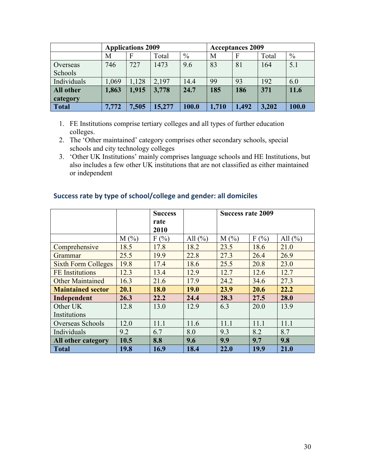|                  |       | <b>Applications 2009</b> |        |               |       | <b>Acceptances 2009</b> |       |               |
|------------------|-------|--------------------------|--------|---------------|-------|-------------------------|-------|---------------|
|                  | M     | F                        | Total  | $\frac{0}{0}$ | M     | F                       | Total | $\frac{0}{0}$ |
| Overseas         | 746   | 727                      | 1473   | 9.6           | 83    | 81                      | 164   | 5.1           |
| Schools          |       |                          |        |               |       |                         |       |               |
| Individuals      | 1,069 | 1,128                    | 2,197  | 14.4          | 99    | 93                      | 192   | 6.0           |
| <b>All other</b> | 1,863 | 1,915                    | 3,778  | 24.7          | 185   | 186                     | 371   | 11.6          |
| category         |       |                          |        |               |       |                         |       |               |
| <b>Total</b>     | 7,772 | 7,505                    | 15,277 | 100.0         | 1,710 | 1,492                   | 3,202 | 100.0         |

- 1. FE Institutions comprise tertiary colleges and all types of further education colleges.
- 2. The 'Other maintained' category comprises other secondary schools, special schools and city technology colleges
- 3. 'Other UK Institutions' mainly comprises language schools and HE Institutions, but also includes a few other UK institutions that are not classified as either maintained or independent

|                            |         | <b>Success</b><br>rate<br>2010 |             | <b>Success rate 2009</b> |      |             |
|----------------------------|---------|--------------------------------|-------------|--------------------------|------|-------------|
|                            | $M(\%)$ | F(%)                           | All $(\% )$ | M(%)                     | F(%) | All $(\% )$ |
| Comprehensive              | 18.5    | 17.8                           | 18.2        | 23.5                     | 18.6 | 21.0        |
| Grammar                    | 25.5    | 19.9                           | 22.8        | 27.3                     | 26.4 | 26.9        |
| <b>Sixth Form Colleges</b> | 19.8    | 17.4                           | 18.6        | 25.5                     | 20.8 | 23.0        |
| <b>FE</b> Institutions     | 12.3    | 13.4                           | 12.9        | 12.7                     | 12.6 | 12.7        |
| <b>Other Maintained</b>    | 16.3    | 21.6                           | 17.9        | 24.2                     | 34.6 | 27.3        |
| <b>Maintained sector</b>   | 20.1    | <b>18.0</b>                    | 19.0        | 23.9                     | 20.6 | 22.2        |
| Independent                | 26.3    | 22.2                           | 24.4        | 28.3                     | 27.5 | 28.0        |
| Other UK                   | 12.8    | 13.0                           | 12.9        | 6.3                      | 20.0 | 13.9        |
| Institutions               |         |                                |             |                          |      |             |
| Overseas Schools           | 12.0    | 11.1                           | 11.6        | 11.1                     | 11.1 | 11.1        |
| Individuals                | 9.2     | 6.7                            | 8.0         | 9.3                      | 8.2  | 8.7         |
| All other category         | 10.5    | 8.8                            | 9.6         | 9.9                      | 9.7  | 9.8         |
| <b>Total</b>               | 19.8    | 16.9                           | 18.4        | 22.0                     | 19.9 | 21.0        |

### Success rate by type of school/college and gender: all domiciles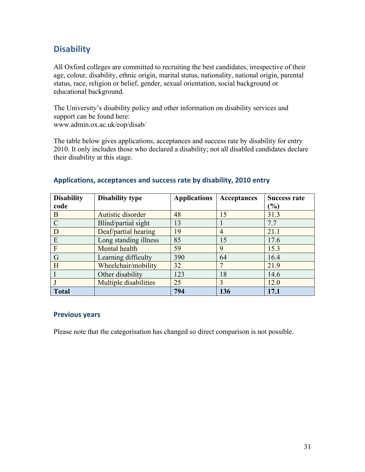# **Disability**

All Oxford colleges are committed to recruiting the best candidates, irrespective of their age, colour, disability, ethnic origin, marital status, nationality, national origin, parental status, race, religion or belief, gender, sexual orientation, social background or educational background.

The University's disability policy and other information on disability services and support can be found here: www.admin.ox.ac.uk/eop/disab/

The table below gives applications, acceptances and success rate by disability for entry 2010. It only includes those who declared a disability; not all disabled candidates declare their disability at this stage.

| <b>Disability</b> | <b>Disability type</b> | <b>Applications</b> | Acceptances    | <b>Success rate</b> |
|-------------------|------------------------|---------------------|----------------|---------------------|
| code              |                        |                     |                | (%)                 |
| B                 | Autistic disorder      | 48                  | 15             | 31.3                |
| $\mathcal{C}$     | Blind/partial sight    | 13                  |                | 7.7                 |
| D                 | Deaf/partial hearing   | 19                  | $\overline{4}$ | 21.1                |
| E                 | Long standing illness  | 85                  | 15             | 17.6                |
| $\mathbf{F}$      | Mental health          | 59                  | 9              | 15.3                |
| G                 | Learning difficulty    | 390                 | 64             | 16.4                |
| H                 | Wheelchair/mobility    | 32                  | 7              | 21.9                |
|                   | Other disability       | 123                 | 18             | 14.6                |
|                   | Multiple disabilities  | 25                  | 3              | 12.0                |
| <b>Total</b>      |                        | 794                 | 136            | 17.1                |

### Applications, acceptances and success rate by disability, 2010 entry

#### **Previous years**

Please note that the categorisation has changed so direct comparison is not possible.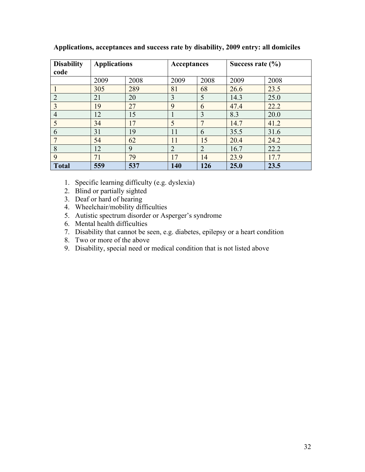| <b>Disability</b> | <b>Applications</b> |      | Acceptances    |                | Success rate $(\% )$ |      |
|-------------------|---------------------|------|----------------|----------------|----------------------|------|
| code              |                     |      |                |                |                      |      |
|                   | 2009                | 2008 | 2009           | 2008           | 2009                 | 2008 |
|                   | 305                 | 289  | 81             | 68             | 26.6                 | 23.5 |
| $\overline{2}$    | 21                  | 20   | 3              | 5              | 14.3                 | 25.0 |
| $\overline{3}$    | 19                  | 27   | 9              | 6              | 47.4                 | 22.2 |
| $\overline{4}$    | 12                  | 15   |                | 3              | 8.3                  | 20.0 |
| 5                 | 34                  | 17   | 5              | 7              | 14.7                 | 41.2 |
| 6                 | 31                  | 19   | 11             | 6              | 35.5                 | 31.6 |
| 7                 | 54                  | 62   | 11             | 15             | 20.4                 | 24.2 |
| 8                 | 12                  | 9    | $\overline{2}$ | $\overline{2}$ | 16.7                 | 22.2 |
| 9                 | 71                  | 79   | 17             | 14             | 23.9                 | 17.7 |
| <b>Total</b>      | 559                 | 537  | 140            | 126            | 25.0                 | 23.5 |

**Applications, acceptances and success rate by disability, 2009 entry: all domiciles**

- 1. Specific learning difficulty (e.g. dyslexia)
- 2. Blind or partially sighted
- 3. Deaf or hard of hearing
- 4. Wheelchair/mobility difficulties
- 5. Autistic spectrum disorder or Asperger's syndrome
- 6. Mental health difficulties
- 7. Disability that cannot be seen, e.g. diabetes, epilepsy or a heart condition
- 8. Two or more of the above
- 9. Disability, special need or medical condition that is not listed above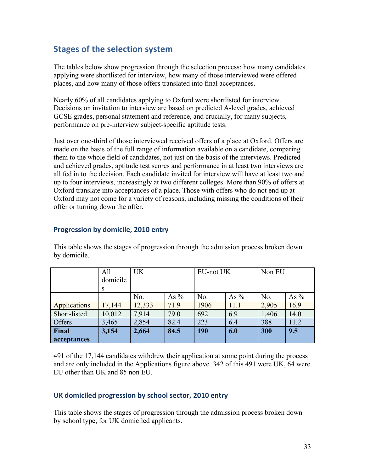## **Stages of the selection system**

The tables below show progression through the selection process: how many candidates applying were shortlisted for interview, how many of those interviewed were offered places, and how many of those offers translated into final acceptances.

Nearly 60% of all candidates applying to Oxford were shortlisted for interview. Decisions on invitation to interview are based on predicted A-level grades, achieved GCSE grades, personal statement and reference, and crucially, for many subjects, performance on pre-interview subject-specific aptitude tests.

Just over one-third of those interviewed received offers of a place at Oxford. Offers are made on the basis of the full range of information available on a candidate, comparing them to the whole field of candidates, not just on the basis of the interviews. Predicted and achieved grades, aptitude test scores and performance in at least two interviews are all fed in to the decision. Each candidate invited for interview will have at least two and up to four interviews, increasingly at two different colleges. More than 90% of offers at Oxford translate into acceptances of a place. Those with offers who do not end up at Oxford may not come for a variety of reasons, including missing the conditions of their offer or turning down the offer.

### **Progression by domicile, 2010 entry**

|                     | All      | <b>UK</b> |        |            | EU-not UK |       | Non EU |  |
|---------------------|----------|-----------|--------|------------|-----------|-------|--------|--|
|                     | domicile |           |        |            |           |       |        |  |
|                     | S        |           |        |            |           |       |        |  |
|                     |          | No.       | As $%$ | No.        | As $%$    | No.   | As $%$ |  |
| <b>Applications</b> | 17,144   | 12,333    | 71.9   | 1906       | 11.1      | 2,905 | 16.9   |  |
| Short-listed        | 10,012   | 7,914     | 79.0   | 692        | 6.9       | 1,406 | 14.0   |  |
| Offers              | 3,465    | 2,854     | 82.4   | 223        | 6.4       | 388   | 11.2   |  |
| Final               | 3,154    | 2,664     | 84.5   | <b>190</b> | 6.0       | 300   | 9.5    |  |
| acceptances         |          |           |        |            |           |       |        |  |

This table shows the stages of progression through the admission process broken down by domicile.

491 of the 17,144 candidates withdrew their application at some point during the process and are only included in the Applications figure above. 342 of this 491 were UK, 64 were EU other than UK and 85 non EU.

### **UK domiciled progression by school sector, 2010 entry**

This table shows the stages of progression through the admission process broken down by school type, for UK domiciled applicants.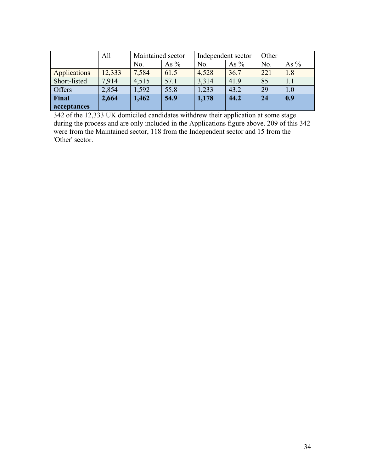|                     | All    |       | Maintained sector |       | Independent sector |     |         |
|---------------------|--------|-------|-------------------|-------|--------------------|-----|---------|
|                     |        | No.   | As $\%$           | No.   | As $\%$            | No. | As $\%$ |
| <b>Applications</b> | 12,333 | 7,584 | 61.5              | 4,528 | 36.7               | 221 | 1.8     |
| Short-listed        | 7.914  | 4,515 | 57.1              | 3,314 | 41.9               | 85  |         |
| <b>Offers</b>       | 2,854  | 1,592 | 55.8              | 1,233 | 43.2               | 29  | 1.0     |
| Final               | 2,664  | 1,462 | 54.9              | 1,178 | 44.2               | 24  | 0.9     |
| acceptances         |        |       |                   |       |                    |     |         |

342 of the 12,333 UK domiciled candidates withdrew their application at some stage during the process and are only included in the Applications figure above. 209 of this 342 were from the Maintained sector, 118 from the Independent sector and 15 from the 'Other' sector.